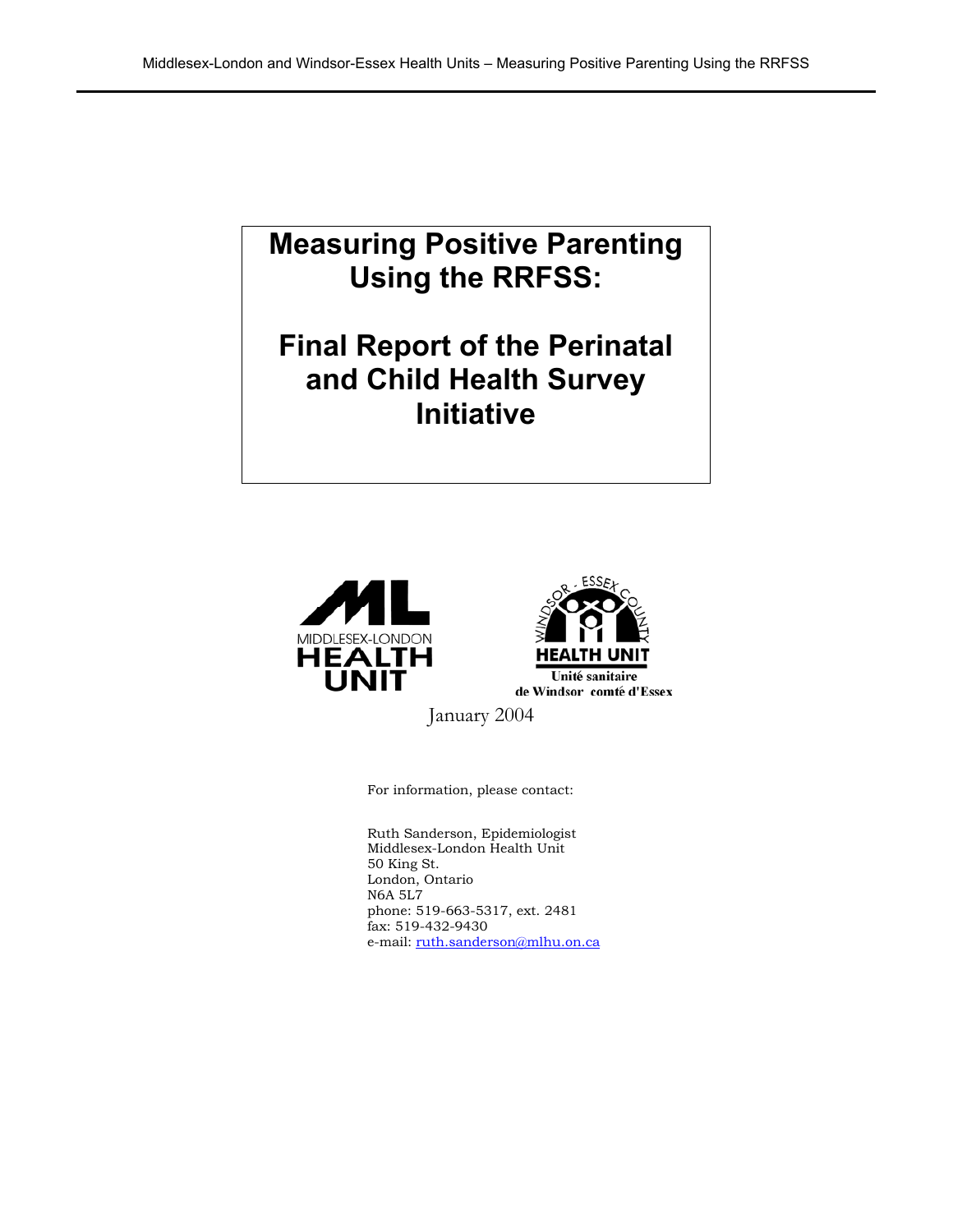





January 2004

For information, please contact:

Ruth Sanderson, Epidemiologist Middlesex-London Health Unit 50 King St. London, Ontario N6A 5L7 phone: 519-663-5317, ext. 2481 fax: 519-432-9430 e-mail: ruth.sanderson@mlhu.on.ca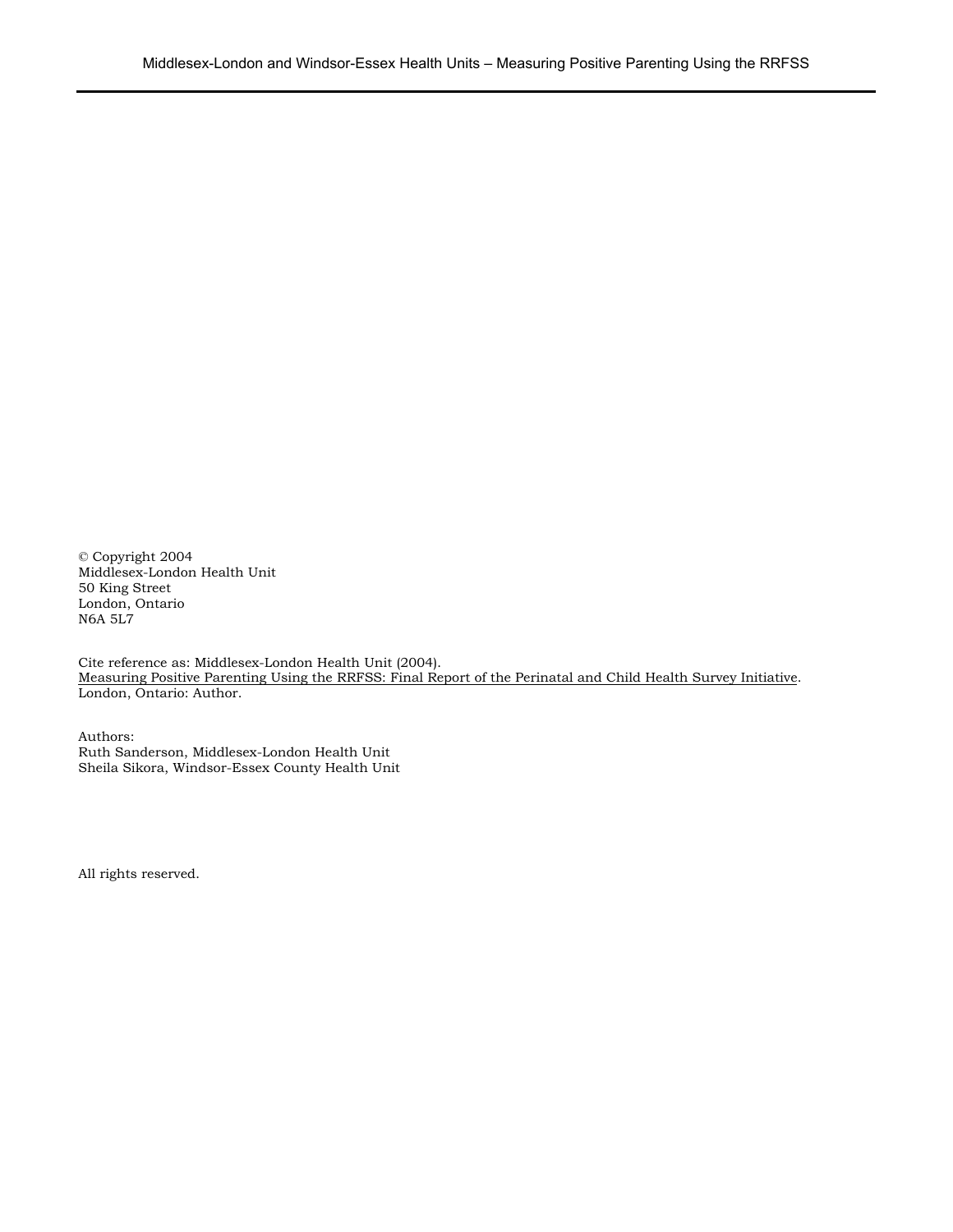© Copyright 2004 Middlesex-London Health Unit 50 King Street London, Ontario N6A 5L7

Cite reference as: Middlesex-London Health Unit (2004). Measuring Positive Parenting Using the RRFSS: Final Report of the Perinatal and Child Health Survey Initiative. London, Ontario: Author.

Authors: Ruth Sanderson, Middlesex-London Health Unit Sheila Sikora, Windsor-Essex County Health Unit

All rights reserved.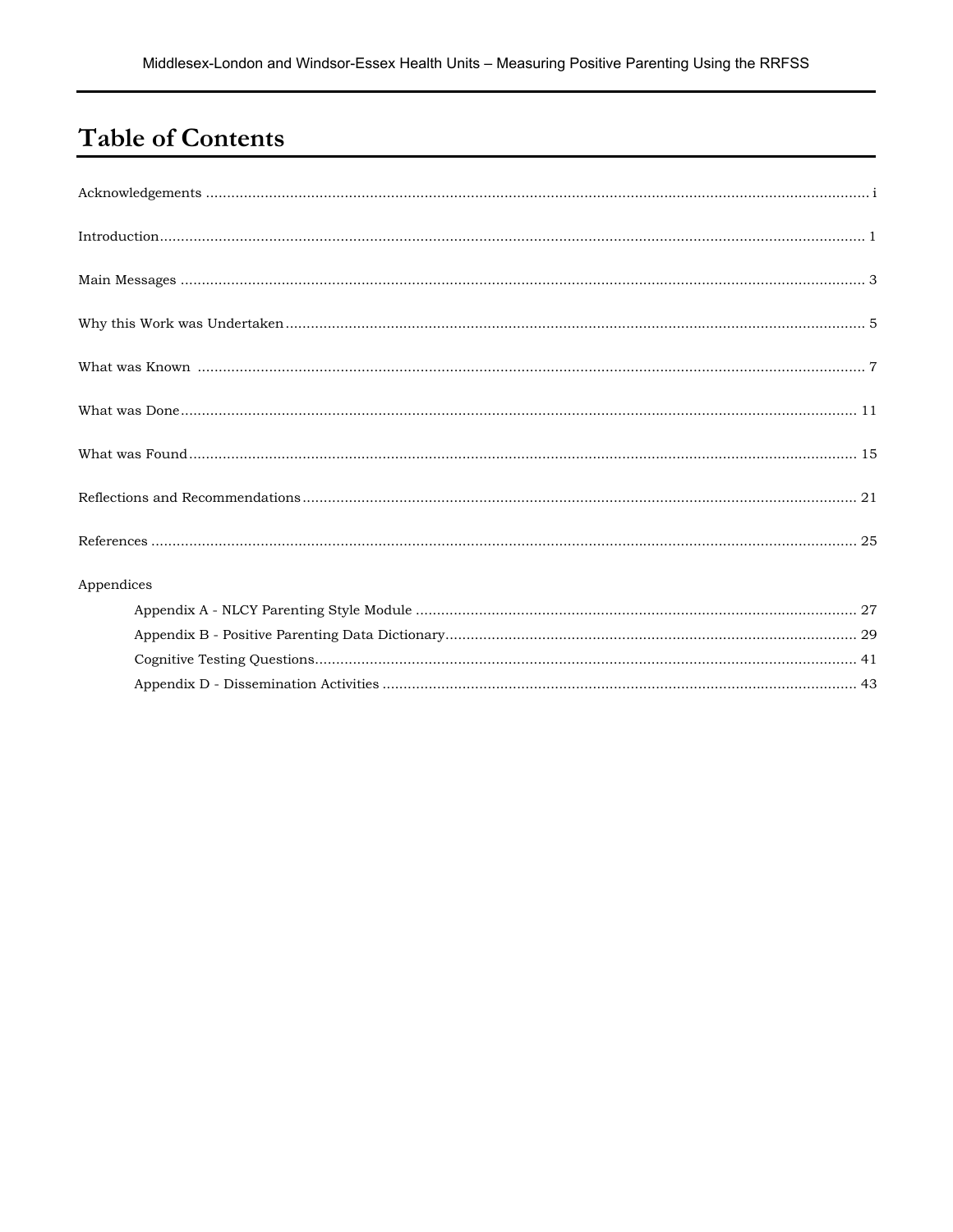# **Table of Contents**

| $\label{prop:nonlinear} \text{Introduction}\\$ |  |
|------------------------------------------------|--|
|                                                |  |
|                                                |  |
|                                                |  |
|                                                |  |
|                                                |  |
|                                                |  |
|                                                |  |
| Appendices                                     |  |
|                                                |  |
|                                                |  |
|                                                |  |
|                                                |  |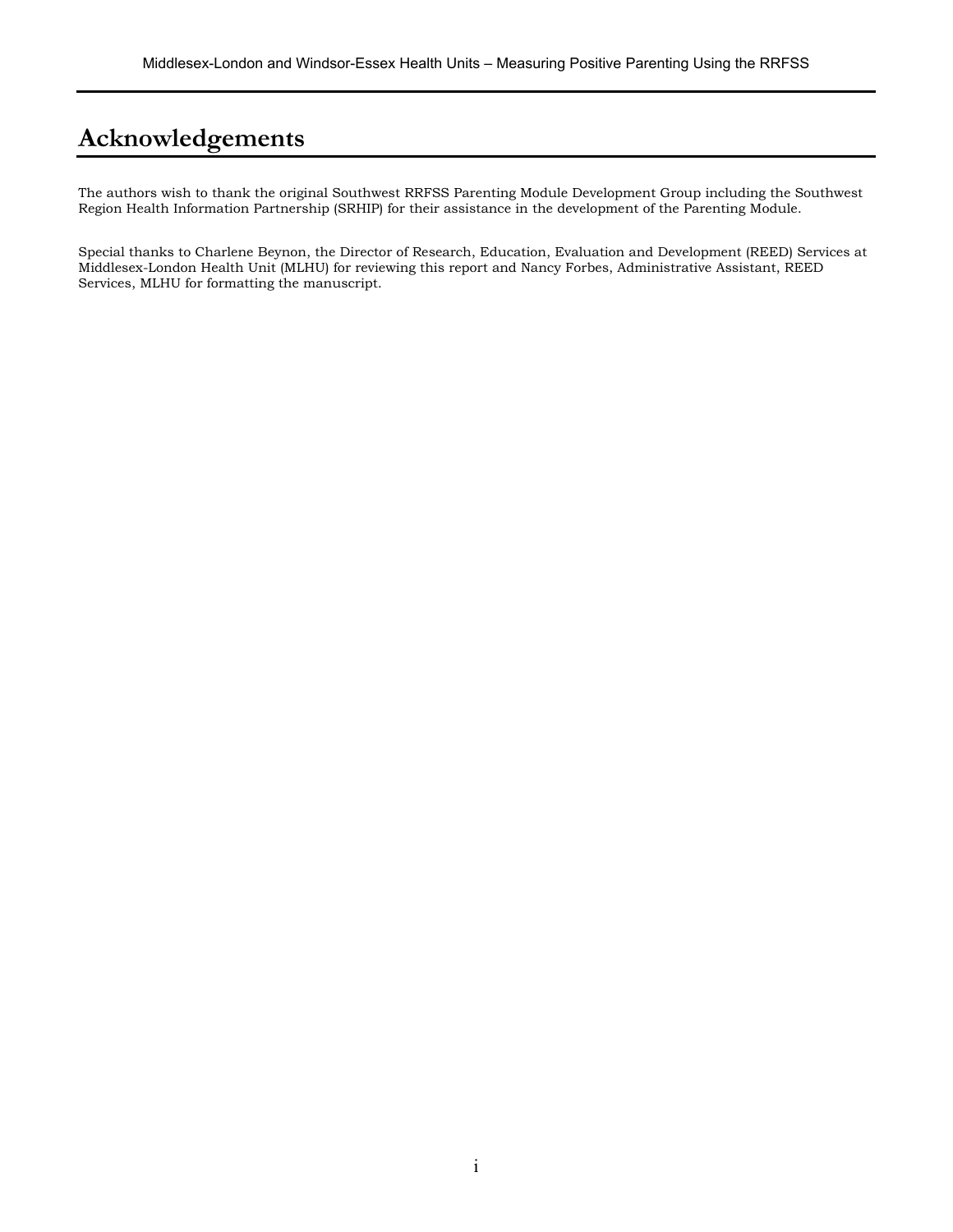# **Acknowledgements**

The authors wish to thank the original Southwest RRFSS Parenting Module Development Group including the Southwest Region Health Information Partnership (SRHIP) for their assistance in the development of the Parenting Module.

Special thanks to Charlene Beynon, the Director of Research, Education, Evaluation and Development (REED) Services at Middlesex-London Health Unit (MLHU) for reviewing this report and Nancy Forbes, Administrative Assistant, REED Services, MLHU for formatting the manuscript.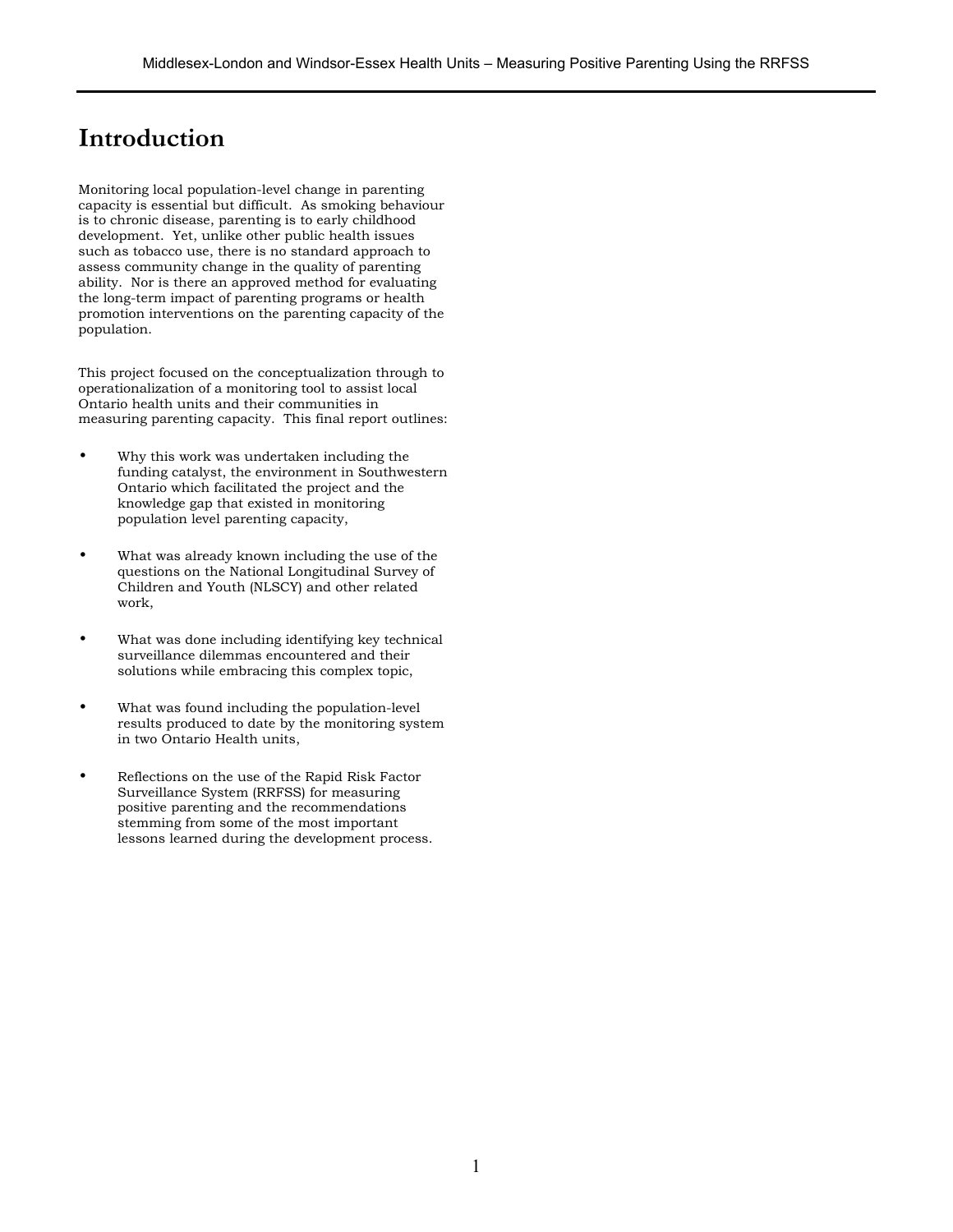# **Introduction**

Monitoring local population-level change in parenting capacity is essential but difficult. As smoking behaviour is to chronic disease, parenting is to early childhood development. Yet, unlike other public health issues such as tobacco use, there is no standard approach to assess community change in the quality of parenting ability. Nor is there an approved method for evaluating the long-term impact of parenting programs or health promotion interventions on the parenting capacity of the population.

This project focused on the conceptualization through to operationalization of a monitoring tool to assist local Ontario health units and their communities in measuring parenting capacity. This final report outlines:

- Why this work was undertaken including the funding catalyst, the environment in Southwestern Ontario which facilitated the project and the knowledge gap that existed in monitoring population level parenting capacity,
- What was already known including the use of the questions on the National Longitudinal Survey of Children and Youth (NLSCY) and other related work,
- What was done including identifying key technical surveillance dilemmas encountered and their solutions while embracing this complex topic,
- What was found including the population-level results produced to date by the monitoring system in two Ontario Health units,
- Reflections on the use of the Rapid Risk Factor Surveillance System (RRFSS) for measuring positive parenting and the recommendations stemming from some of the most important lessons learned during the development process.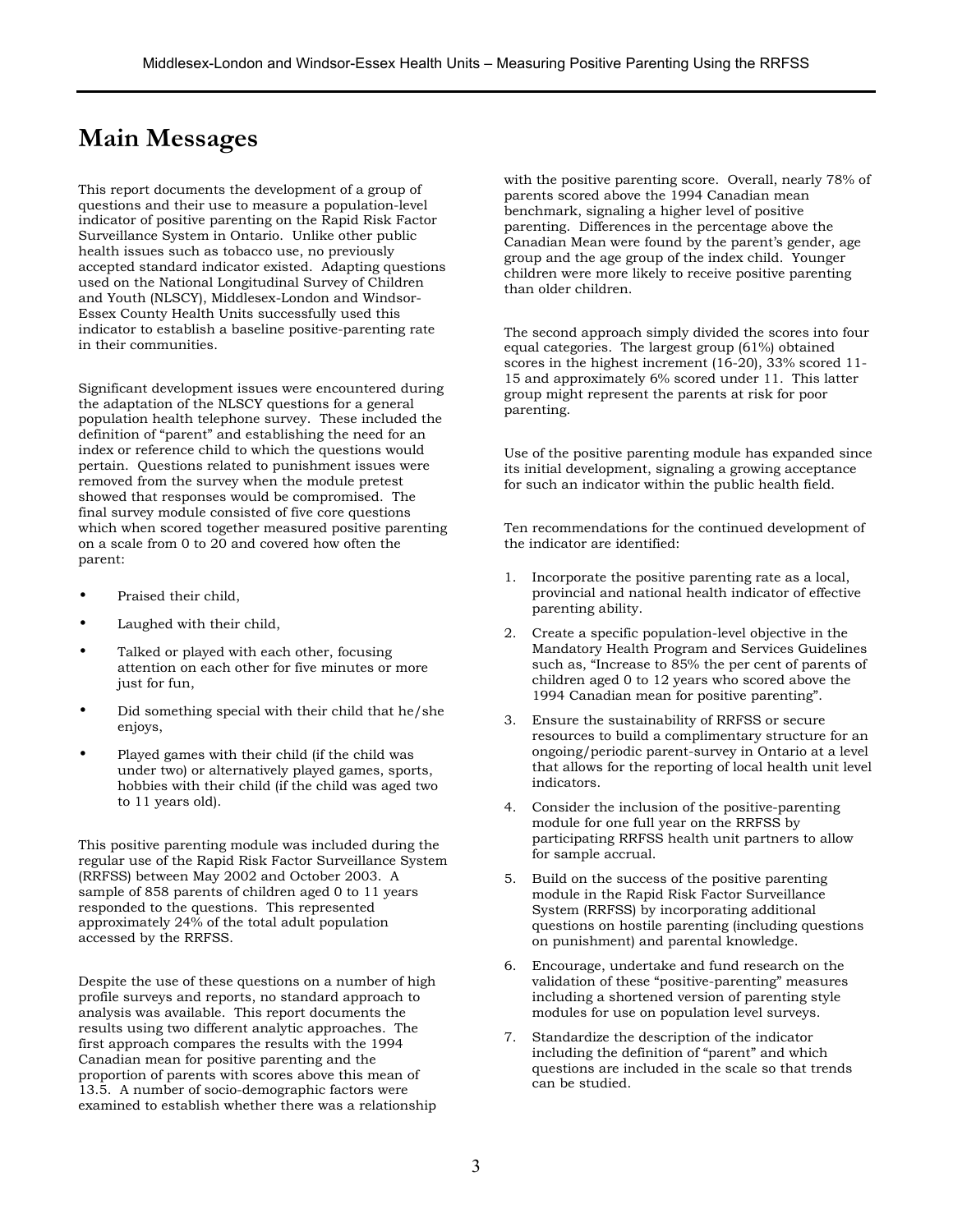# **Main Messages**

This report documents the development of a group of questions and their use to measure a population-level indicator of positive parenting on the Rapid Risk Factor Surveillance System in Ontario. Unlike other public health issues such as tobacco use, no previously accepted standard indicator existed. Adapting questions used on the National Longitudinal Survey of Children and Youth (NLSCY), Middlesex-London and Windsor-Essex County Health Units successfully used this indicator to establish a baseline positive-parenting rate in their communities.

Significant development issues were encountered during the adaptation of the NLSCY questions for a general population health telephone survey. These included the definition of "parent" and establishing the need for an index or reference child to which the questions would pertain. Questions related to punishment issues were removed from the survey when the module pretest showed that responses would be compromised. The final survey module consisted of five core questions which when scored together measured positive parenting on a scale from 0 to 20 and covered how often the parent:

- Praised their child,
- Laughed with their child,
- Talked or played with each other, focusing attention on each other for five minutes or more just for fun,
- Did something special with their child that he/she enjoys,
- Played games with their child (if the child was under two) or alternatively played games, sports, hobbies with their child (if the child was aged two to 11 years old).

This positive parenting module was included during the regular use of the Rapid Risk Factor Surveillance System (RRFSS) between May 2002 and October 2003. A sample of 858 parents of children aged 0 to 11 years responded to the questions. This represented approximately 24% of the total adult population accessed by the RRFSS.

Despite the use of these questions on a number of high profile surveys and reports, no standard approach to analysis was available. This report documents the results using two different analytic approaches. The first approach compares the results with the 1994 Canadian mean for positive parenting and the proportion of parents with scores above this mean of 13.5. A number of socio-demographic factors were examined to establish whether there was a relationship with the positive parenting score. Overall, nearly 78% of parents scored above the 1994 Canadian mean benchmark, signaling a higher level of positive parenting. Differences in the percentage above the Canadian Mean were found by the parent's gender, age group and the age group of the index child. Younger children were more likely to receive positive parenting than older children.

The second approach simply divided the scores into four equal categories. The largest group (61%) obtained scores in the highest increment (16-20), 33% scored 11- 15 and approximately 6% scored under 11. This latter group might represent the parents at risk for poor parenting.

Use of the positive parenting module has expanded since its initial development, signaling a growing acceptance for such an indicator within the public health field.

Ten recommendations for the continued development of the indicator are identified:

- 1. Incorporate the positive parenting rate as a local, provincial and national health indicator of effective parenting ability.
- 2. Create a specific population-level objective in the Mandatory Health Program and Services Guidelines such as, "Increase to 85% the per cent of parents of children aged 0 to 12 years who scored above the 1994 Canadian mean for positive parenting".
- 3. Ensure the sustainability of RRFSS or secure resources to build a complimentary structure for an ongoing/periodic parent-survey in Ontario at a level that allows for the reporting of local health unit level indicators.
- 4. Consider the inclusion of the positive-parenting module for one full year on the RRFSS by participating RRFSS health unit partners to allow for sample accrual.
- 5. Build on the success of the positive parenting module in the Rapid Risk Factor Surveillance System (RRFSS) by incorporating additional questions on hostile parenting (including questions on punishment) and parental knowledge.
- 6. Encourage, undertake and fund research on the validation of these "positive-parenting" measures including a shortened version of parenting style modules for use on population level surveys.
- 7. Standardize the description of the indicator including the definition of "parent" and which questions are included in the scale so that trends can be studied.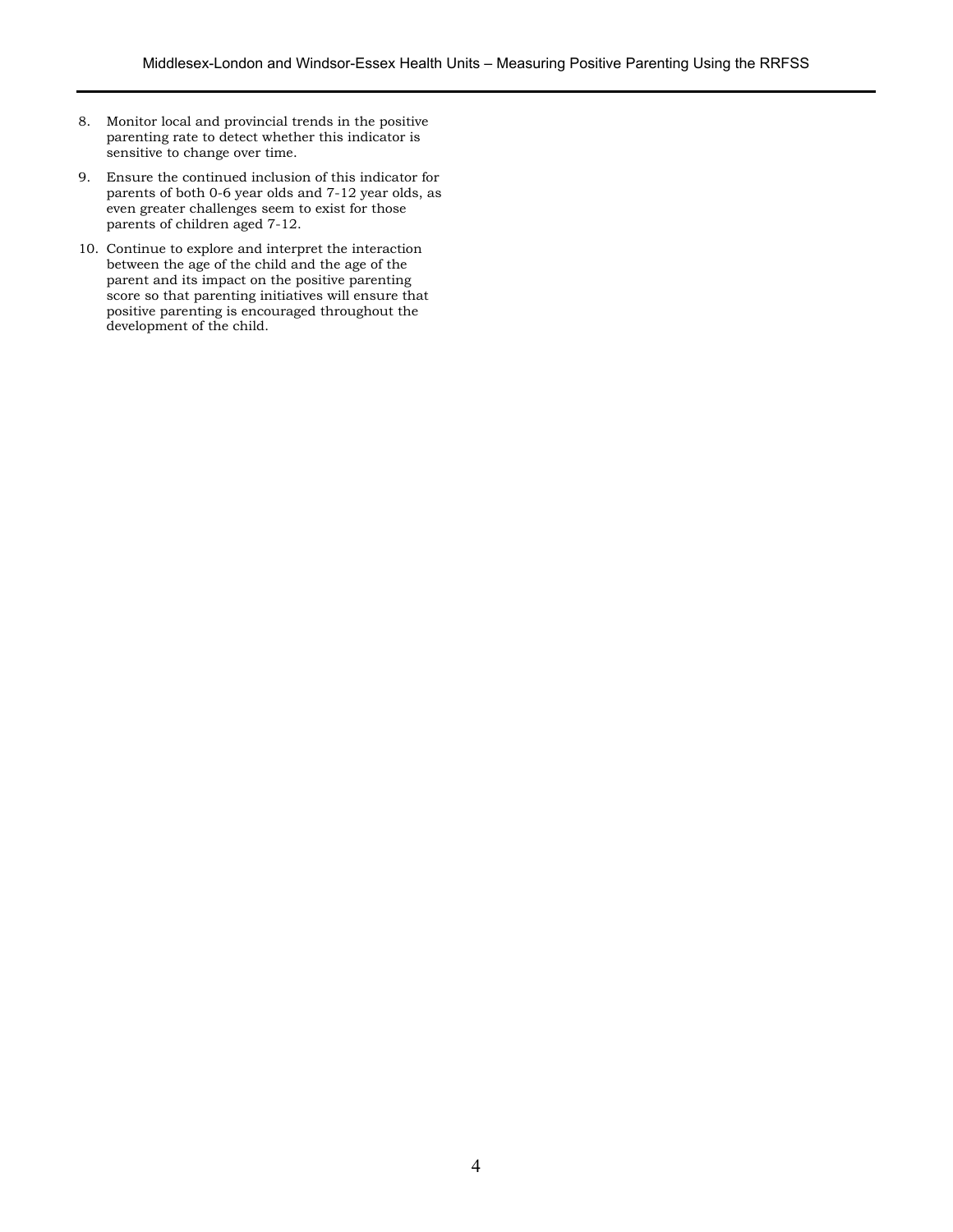- 8. Monitor local and provincial trends in the positive parenting rate to detect whether this indicator is sensitive to change over time.
- 9. Ensure the continued inclusion of this indicator for parents of both 0-6 year olds and 7-12 year olds, as even greater challenges seem to exist for those parents of children aged 7-12.
- 10. Continue to explore and interpret the interaction between the age of the child and the age of the parent and its impact on the positive parenting score so that parenting initiatives will ensure that positive parenting is encouraged throughout the development of the child.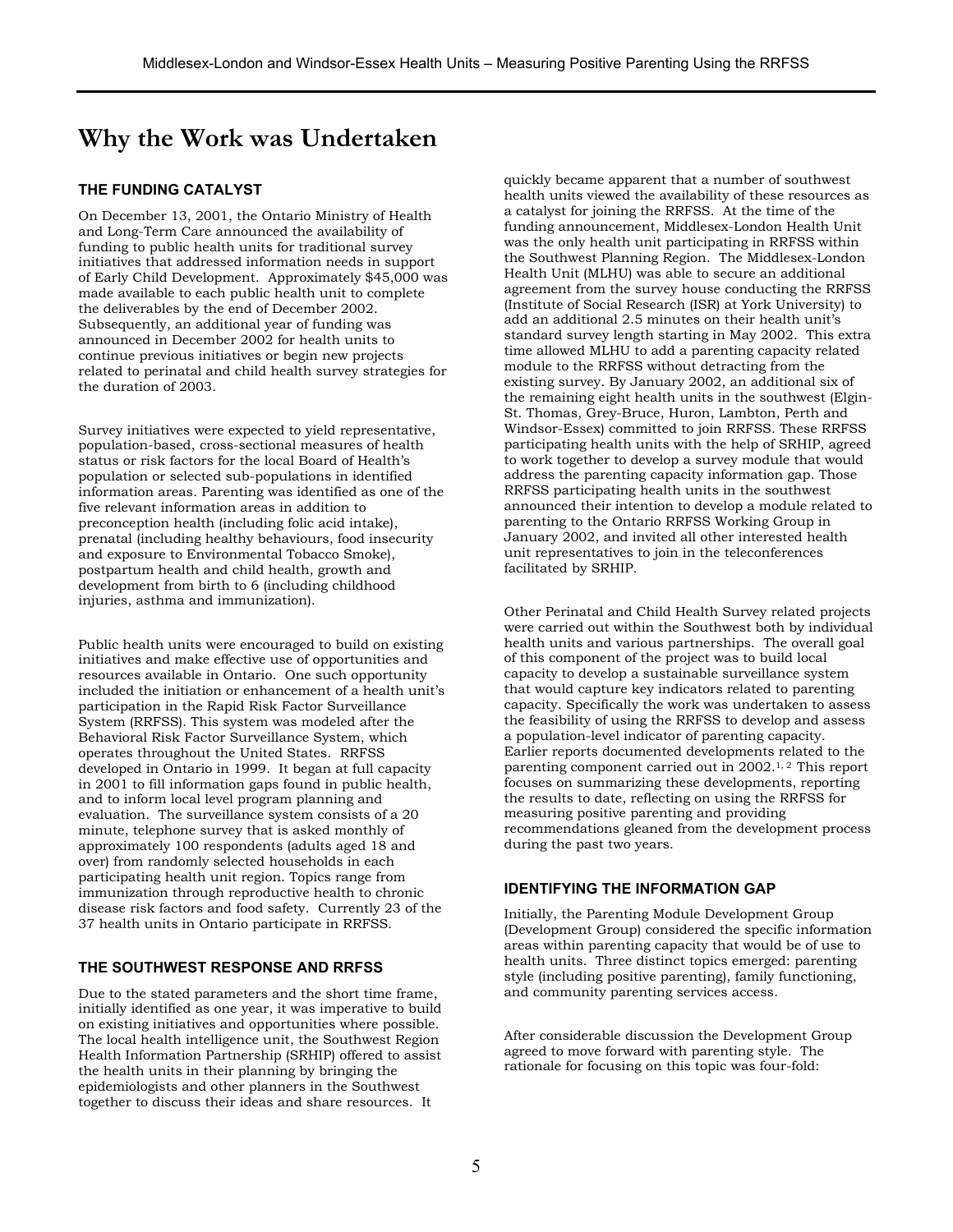# **Why the Work was Undertaken**

#### **THE FUNDING CATALYST**

On December 13, 2001, the Ontario Ministry of Health and Long-Term Care announced the availability of funding to public health units for traditional survey initiatives that addressed information needs in support of Early Child Development. Approximately \$45,000 was made available to each public health unit to complete the deliverables by the end of December 2002. Subsequently, an additional year of funding was announced in December 2002 for health units to continue previous initiatives or begin new projects related to perinatal and child health survey strategies for the duration of 2003.

Survey initiatives were expected to yield representative, population-based, cross-sectional measures of health status or risk factors for the local Board of Health's population or selected sub-populations in identified information areas. Parenting was identified as one of the five relevant information areas in addition to preconception health (including folic acid intake), prenatal (including healthy behaviours, food insecurity and exposure to Environmental Tobacco Smoke), postpartum health and child health, growth and development from birth to 6 (including childhood injuries, asthma and immunization).

Public health units were encouraged to build on existing initiatives and make effective use of opportunities and resources available in Ontario. One such opportunity included the initiation or enhancement of a health unit's participation in the Rapid Risk Factor Surveillance System (RRFSS). This system was modeled after the Behavioral Risk Factor Surveillance System, which operates throughout the United States. RRFSS developed in Ontario in 1999. It began at full capacity in 2001 to fill information gaps found in public health, and to inform local level program planning and evaluation. The surveillance system consists of a 20 minute, telephone survey that is asked monthly of approximately 100 respondents (adults aged 18 and over) from randomly selected households in each participating health unit region. Topics range from immunization through reproductive health to chronic disease risk factors and food safety. Currently 23 of the 37 health units in Ontario participate in RRFSS.

#### **THE SOUTHWEST RESPONSE AND RRFSS**

Due to the stated parameters and the short time frame, initially identified as one year, it was imperative to build on existing initiatives and opportunities where possible. The local health intelligence unit, the Southwest Region Health Information Partnership (SRHIP) offered to assist the health units in their planning by bringing the epidemiologists and other planners in the Southwest together to discuss their ideas and share resources. It

quickly became apparent that a number of southwest health units viewed the availability of these resources as a catalyst for joining the RRFSS. At the time of the funding announcement, Middlesex-London Health Unit was the only health unit participating in RRFSS within the Southwest Planning Region. The Middlesex-London Health Unit (MLHU) was able to secure an additional agreement from the survey house conducting the RRFSS (Institute of Social Research (ISR) at York University) to add an additional 2.5 minutes on their health unit's standard survey length starting in May 2002. This extra time allowed MLHU to add a parenting capacity related module to the RRFSS without detracting from the existing survey. By January 2002, an additional six of the remaining eight health units in the southwest (Elgin-St. Thomas, Grey-Bruce, Huron, Lambton, Perth and Windsor-Essex) committed to join RRFSS. These RRFSS participating health units with the help of SRHIP, agreed to work together to develop a survey module that would address the parenting capacity information gap. Those RRFSS participating health units in the southwest announced their intention to develop a module related to parenting to the Ontario RRFSS Working Group in January 2002, and invited all other interested health unit representatives to join in the teleconferences facilitated by SRHIP.

Other Perinatal and Child Health Survey related projects were carried out within the Southwest both by individual health units and various partnerships. The overall goal of this component of the project was to build local capacity to develop a sustainable surveillance system that would capture key indicators related to parenting capacity. Specifically the work was undertaken to assess the feasibility of using the RRFSS to develop and assess a population-level indicator of parenting capacity. Earlier reports documented developments related to the parenting component carried out in 2002.1, 2 This report focuses on summarizing these developments, reporting the results to date, reflecting on using the RRFSS for measuring positive parenting and providing recommendations gleaned from the development process during the past two years.

#### **IDENTIFYING THE INFORMATION GAP**

Initially, the Parenting Module Development Group (Development Group) considered the specific information areas within parenting capacity that would be of use to health units. Three distinct topics emerged: parenting style (including positive parenting), family functioning, and community parenting services access.

After considerable discussion the Development Group agreed to move forward with parenting style. The rationale for focusing on this topic was four-fold: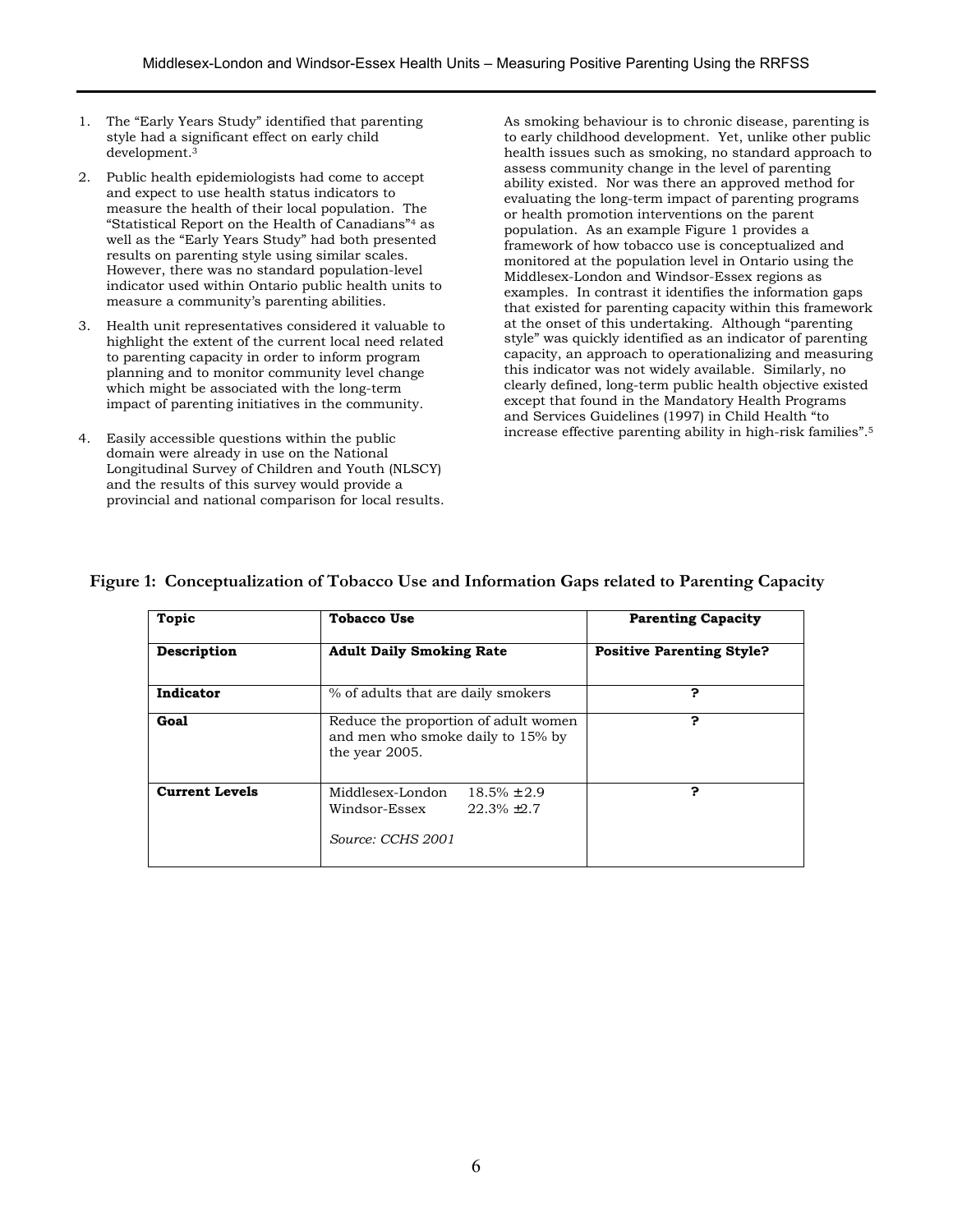- 1. The "Early Years Study" identified that parenting style had a significant effect on early child development.3
- 2. Public health epidemiologists had come to accept and expect to use health status indicators to measure the health of their local population. The "Statistical Report on the Health of Canadians"4 as well as the "Early Years Study" had both presented results on parenting style using similar scales. However, there was no standard population-level indicator used within Ontario public health units to measure a community's parenting abilities.
- 3. Health unit representatives considered it valuable to highlight the extent of the current local need related to parenting capacity in order to inform program planning and to monitor community level change which might be associated with the long-term impact of parenting initiatives in the community.
- 4. Easily accessible questions within the public domain were already in use on the National Longitudinal Survey of Children and Youth (NLSCY) and the results of this survey would provide a provincial and national comparison for local results.

As smoking behaviour is to chronic disease, parenting is to early childhood development. Yet, unlike other public health issues such as smoking, no standard approach to assess community change in the level of parenting ability existed. Nor was there an approved method for evaluating the long-term impact of parenting programs or health promotion interventions on the parent population. As an example Figure 1 provides a framework of how tobacco use is conceptualized and monitored at the population level in Ontario using the Middlesex-London and Windsor-Essex regions as examples. In contrast it identifies the information gaps that existed for parenting capacity within this framework at the onset of this undertaking. Although "parenting style" was quickly identified as an indicator of parenting capacity, an approach to operationalizing and measuring this indicator was not widely available. Similarly, no clearly defined, long-term public health objective existed except that found in the Mandatory Health Programs and Services Guidelines (1997) in Child Health "to increase effective parenting ability in high-risk families".5

| Topic                 | <b>Tobacco Use</b>                                                                             | <b>Parenting Capacity</b><br><b>Positive Parenting Style?</b> |  |  |
|-----------------------|------------------------------------------------------------------------------------------------|---------------------------------------------------------------|--|--|
| Description           | <b>Adult Daily Smoking Rate</b>                                                                |                                                               |  |  |
| Indicator             | % of adults that are daily smokers                                                             | ?                                                             |  |  |
| Goal                  | Reduce the proportion of adult women<br>and men who smoke daily to 15% by<br>the year 2005.    | ?                                                             |  |  |
| <b>Current Levels</b> | Middlesex-London<br>$18.5\% \pm 2.9$<br>$22.3\% \pm 2.7$<br>Windsor-Essex<br>Source: CCHS 2001 | ?                                                             |  |  |

#### **Figure 1: Conceptualization of Tobacco Use and Information Gaps related to Parenting Capacity**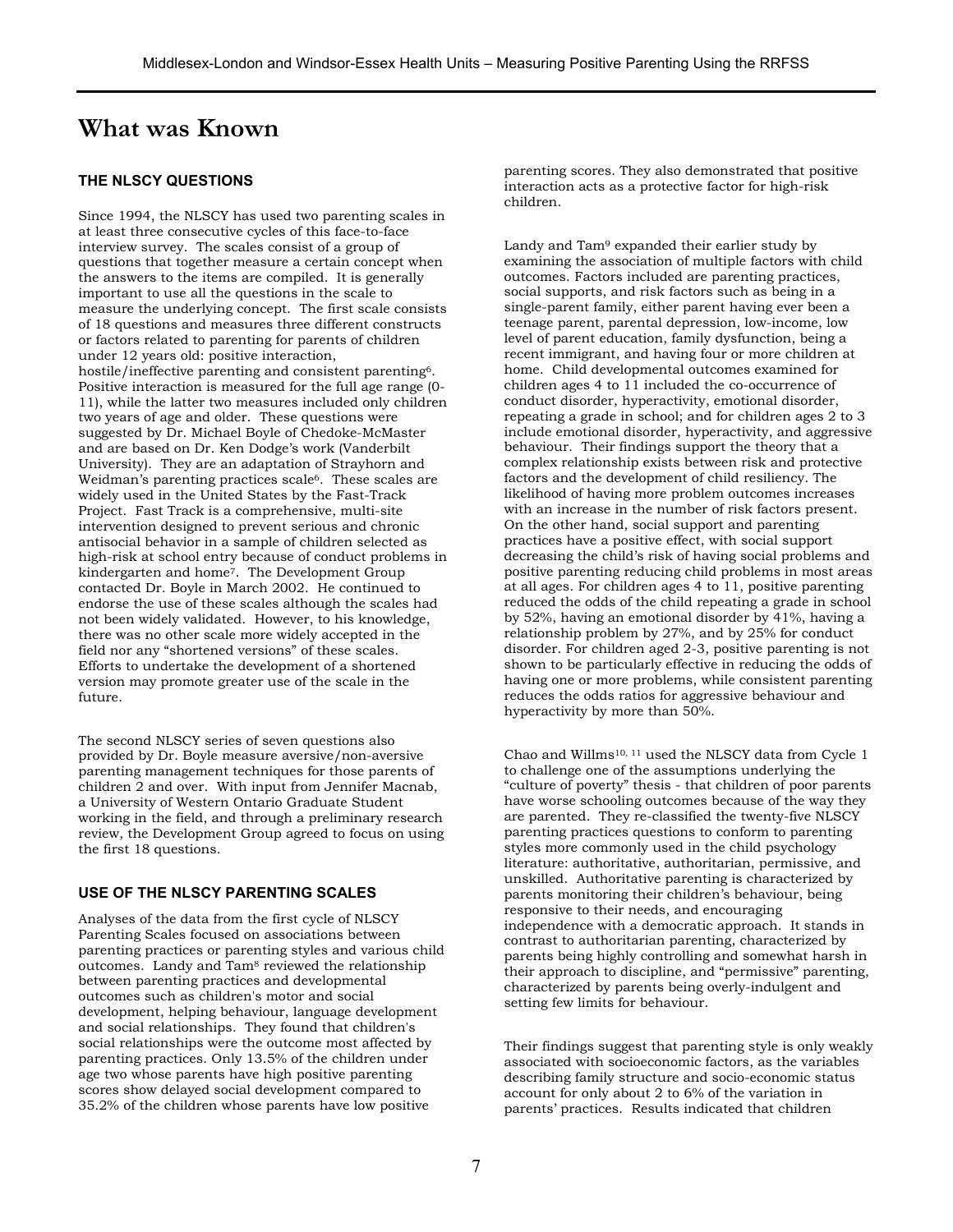# **What was Known**

#### **THE NLSCY QUESTIONS**

Since 1994, the NLSCY has used two parenting scales in at least three consecutive cycles of this face-to-face interview survey. The scales consist of a group of questions that together measure a certain concept when the answers to the items are compiled. It is generally important to use all the questions in the scale to measure the underlying concept. The first scale consists of 18 questions and measures three different constructs or factors related to parenting for parents of children under 12 years old: positive interaction, hostile/ineffective parenting and consistent parenting<sup>6</sup>. Positive interaction is measured for the full age range (0- 11), while the latter two measures included only children two years of age and older. These questions were suggested by Dr. Michael Boyle of Chedoke-McMaster and are based on Dr. Ken Dodge's work (Vanderbilt University). They are an adaptation of Strayhorn and Weidman's parenting practices scale6. These scales are widely used in the United States by the Fast-Track Project. Fast Track is a comprehensive, multi-site intervention designed to prevent serious and chronic antisocial behavior in a sample of children selected as high-risk at school entry because of conduct problems in kindergarten and home7. The Development Group contacted Dr. Boyle in March 2002. He continued to endorse the use of these scales although the scales had not been widely validated. However, to his knowledge, there was no other scale more widely accepted in the field nor any "shortened versions" of these scales. Efforts to undertake the development of a shortened version may promote greater use of the scale in the future.

The second NLSCY series of seven questions also provided by Dr. Boyle measure aversive/non-aversive parenting management techniques for those parents of children 2 and over. With input from Jennifer Macnab, a University of Western Ontario Graduate Student working in the field, and through a preliminary research review, the Development Group agreed to focus on using the first 18 questions.

#### **USE OF THE NLSCY PARENTING SCALES**

Analyses of the data from the first cycle of NLSCY Parenting Scales focused on associations between parenting practices or parenting styles and various child outcomes. Landy and Tam8 reviewed the relationship between parenting practices and developmental outcomes such as children's motor and social development, helping behaviour, language development and social relationships. They found that children's social relationships were the outcome most affected by parenting practices. Only 13.5% of the children under age two whose parents have high positive parenting scores show delayed social development compared to 35.2% of the children whose parents have low positive

parenting scores. They also demonstrated that positive interaction acts as a protective factor for high-risk children.

Landy and Tam9 expanded their earlier study by examining the association of multiple factors with child outcomes. Factors included are parenting practices, social supports, and risk factors such as being in a single-parent family, either parent having ever been a teenage parent, parental depression, low-income, low level of parent education, family dysfunction, being a recent immigrant, and having four or more children at home. Child developmental outcomes examined for children ages 4 to 11 included the co-occurrence of conduct disorder, hyperactivity, emotional disorder, repeating a grade in school; and for children ages 2 to 3 include emotional disorder, hyperactivity, and aggressive behaviour. Their findings support the theory that a complex relationship exists between risk and protective factors and the development of child resiliency. The likelihood of having more problem outcomes increases with an increase in the number of risk factors present. On the other hand, social support and parenting practices have a positive effect, with social support decreasing the child's risk of having social problems and positive parenting reducing child problems in most areas at all ages. For children ages 4 to 11, positive parenting reduced the odds of the child repeating a grade in school by 52%, having an emotional disorder by 41%, having a relationship problem by 27%, and by 25% for conduct disorder. For children aged 2-3, positive parenting is not shown to be particularly effective in reducing the odds of having one or more problems, while consistent parenting reduces the odds ratios for aggressive behaviour and hyperactivity by more than 50%.

Chao and Willms<sup>10, 11</sup> used the NLSCY data from Cycle 1 to challenge one of the assumptions underlying the "culture of poverty" thesis - that children of poor parents have worse schooling outcomes because of the way they are parented. They re-classified the twenty-five NLSCY parenting practices questions to conform to parenting styles more commonly used in the child psychology literature: authoritative, authoritarian, permissive, and unskilled. Authoritative parenting is characterized by parents monitoring their children's behaviour, being responsive to their needs, and encouraging independence with a democratic approach. It stands in contrast to authoritarian parenting, characterized by parents being highly controlling and somewhat harsh in their approach to discipline, and "permissive" parenting, characterized by parents being overly-indulgent and setting few limits for behaviour.

Their findings suggest that parenting style is only weakly associated with socioeconomic factors, as the variables describing family structure and socio-economic status account for only about 2 to 6% of the variation in parents' practices. Results indicated that children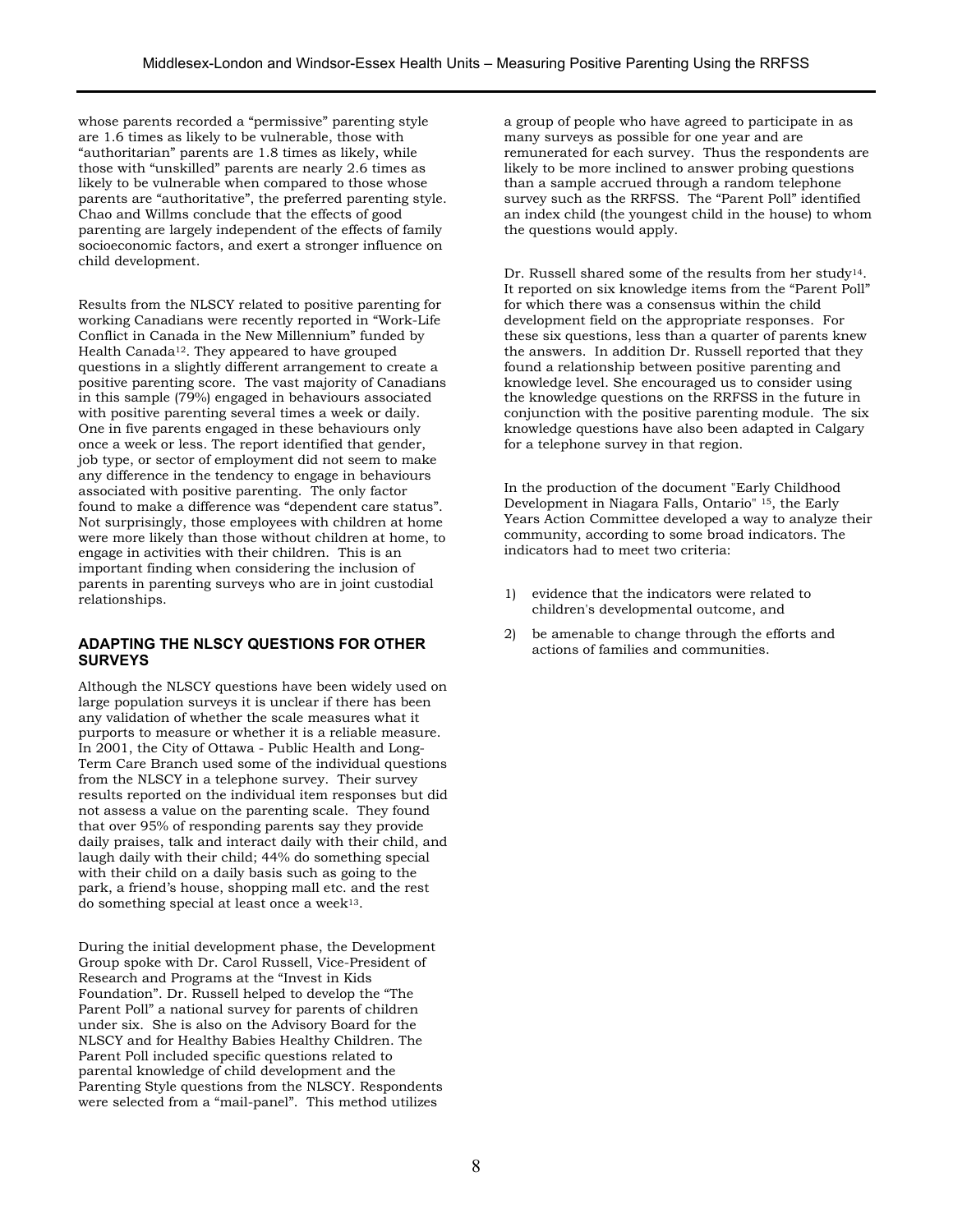whose parents recorded a "permissive" parenting style are 1.6 times as likely to be vulnerable, those with "authoritarian" parents are 1.8 times as likely, while those with "unskilled" parents are nearly 2.6 times as likely to be vulnerable when compared to those whose parents are "authoritative", the preferred parenting style. Chao and Willms conclude that the effects of good parenting are largely independent of the effects of family socioeconomic factors, and exert a stronger influence on child development.

Results from the NLSCY related to positive parenting for working Canadians were recently reported in "Work-Life Conflict in Canada in the New Millennium" funded by Health Canada12. They appeared to have grouped questions in a slightly different arrangement to create a positive parenting score. The vast majority of Canadians in this sample (79%) engaged in behaviours associated with positive parenting several times a week or daily. One in five parents engaged in these behaviours only once a week or less. The report identified that gender, job type, or sector of employment did not seem to make any difference in the tendency to engage in behaviours associated with positive parenting. The only factor found to make a difference was "dependent care status". Not surprisingly, those employees with children at home were more likely than those without children at home, to engage in activities with their children. This is an important finding when considering the inclusion of parents in parenting surveys who are in joint custodial relationships.

#### **ADAPTING THE NLSCY QUESTIONS FOR OTHER SURVEYS**

Although the NLSCY questions have been widely used on large population surveys it is unclear if there has been any validation of whether the scale measures what it purports to measure or whether it is a reliable measure. In 2001, the City of Ottawa - Public Health and Long-Term Care Branch used some of the individual questions from the NLSCY in a telephone survey. Their survey results reported on the individual item responses but did not assess a value on the parenting scale. They found that over 95% of responding parents say they provide daily praises, talk and interact daily with their child, and laugh daily with their child; 44% do something special with their child on a daily basis such as going to the park, a friend's house, shopping mall etc. and the rest do something special at least once a week13.

During the initial development phase, the Development Group spoke with Dr. Carol Russell, Vice-President of Research and Programs at the "Invest in Kids Foundation". Dr. Russell helped to develop the "The Parent Poll" a national survey for parents of children under six. She is also on the Advisory Board for the NLSCY and for Healthy Babies Healthy Children. The Parent Poll included specific questions related to parental knowledge of child development and the Parenting Style questions from the NLSCY. Respondents were selected from a "mail-panel". This method utilizes

a group of people who have agreed to participate in as many surveys as possible for one year and are remunerated for each survey. Thus the respondents are likely to be more inclined to answer probing questions than a sample accrued through a random telephone survey such as the RRFSS. The "Parent Poll" identified an index child (the youngest child in the house) to whom the questions would apply.

Dr. Russell shared some of the results from her study<sup>14</sup>. It reported on six knowledge items from the "Parent Poll" for which there was a consensus within the child development field on the appropriate responses. For these six questions, less than a quarter of parents knew the answers. In addition Dr. Russell reported that they found a relationship between positive parenting and knowledge level. She encouraged us to consider using the knowledge questions on the RRFSS in the future in conjunction with the positive parenting module. The six knowledge questions have also been adapted in Calgary for a telephone survey in that region.

In the production of the document "Early Childhood Development in Niagara Falls, Ontario" 15, the Early Years Action Committee developed a way to analyze their community, according to some broad indicators. The indicators had to meet two criteria:

- 1) evidence that the indicators were related to children's developmental outcome, and
- 2) be amenable to change through the efforts and actions of families and communities.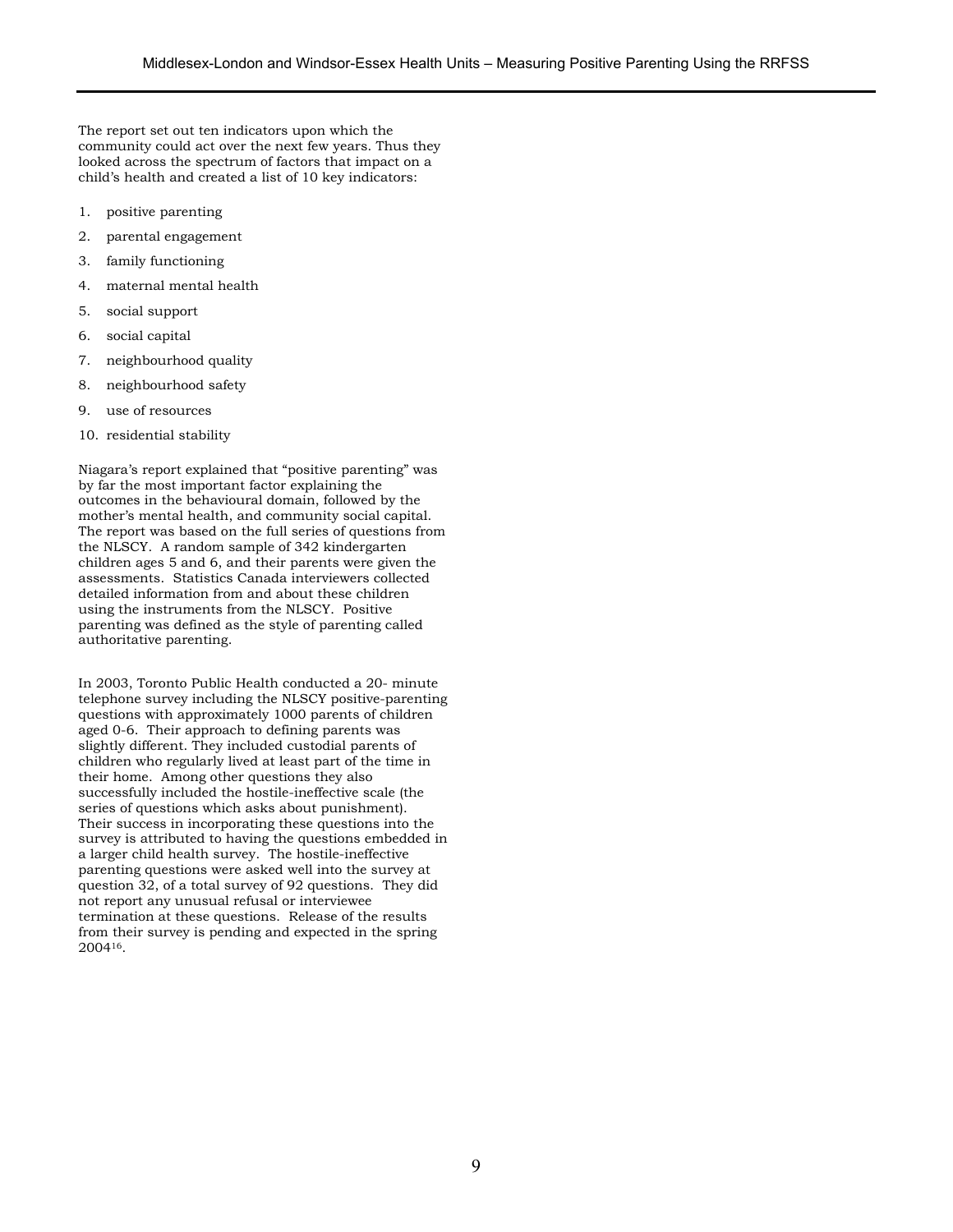The report set out ten indicators upon which the community could act over the next few years. Thus they looked across the spectrum of factors that impact on a child's health and created a list of 10 key indicators:

- 1. positive parenting
- 2. parental engagement
- 3. family functioning
- 4. maternal mental health
- 5. social support
- 6. social capital
- 7. neighbourhood quality
- 8. neighbourhood safety
- 9. use of resources
- 10. residential stability

Niagara's report explained that "positive parenting" was by far the most important factor explaining the outcomes in the behavioural domain, followed by the mother's mental health, and community social capital. The report was based on the full series of questions from the NLSCY. A random sample of 342 kindergarten children ages 5 and 6, and their parents were given the assessments. Statistics Canada interviewers collected detailed information from and about these children using the instruments from the NLSCY. Positive parenting was defined as the style of parenting called authoritative parenting.

In 2003, Toronto Public Health conducted a 20- minute telephone survey including the NLSCY positive-parenting questions with approximately 1000 parents of children aged 0-6. Their approach to defining parents was slightly different. They included custodial parents of children who regularly lived at least part of the time in their home. Among other questions they also successfully included the hostile-ineffective scale (the series of questions which asks about punishment). Their success in incorporating these questions into the survey is attributed to having the questions embedded in a larger child health survey. The hostile-ineffective parenting questions were asked well into the survey at question 32, of a total survey of 92 questions. They did not report any unusual refusal or interviewee termination at these questions. Release of the results from their survey is pending and expected in the spring 200416.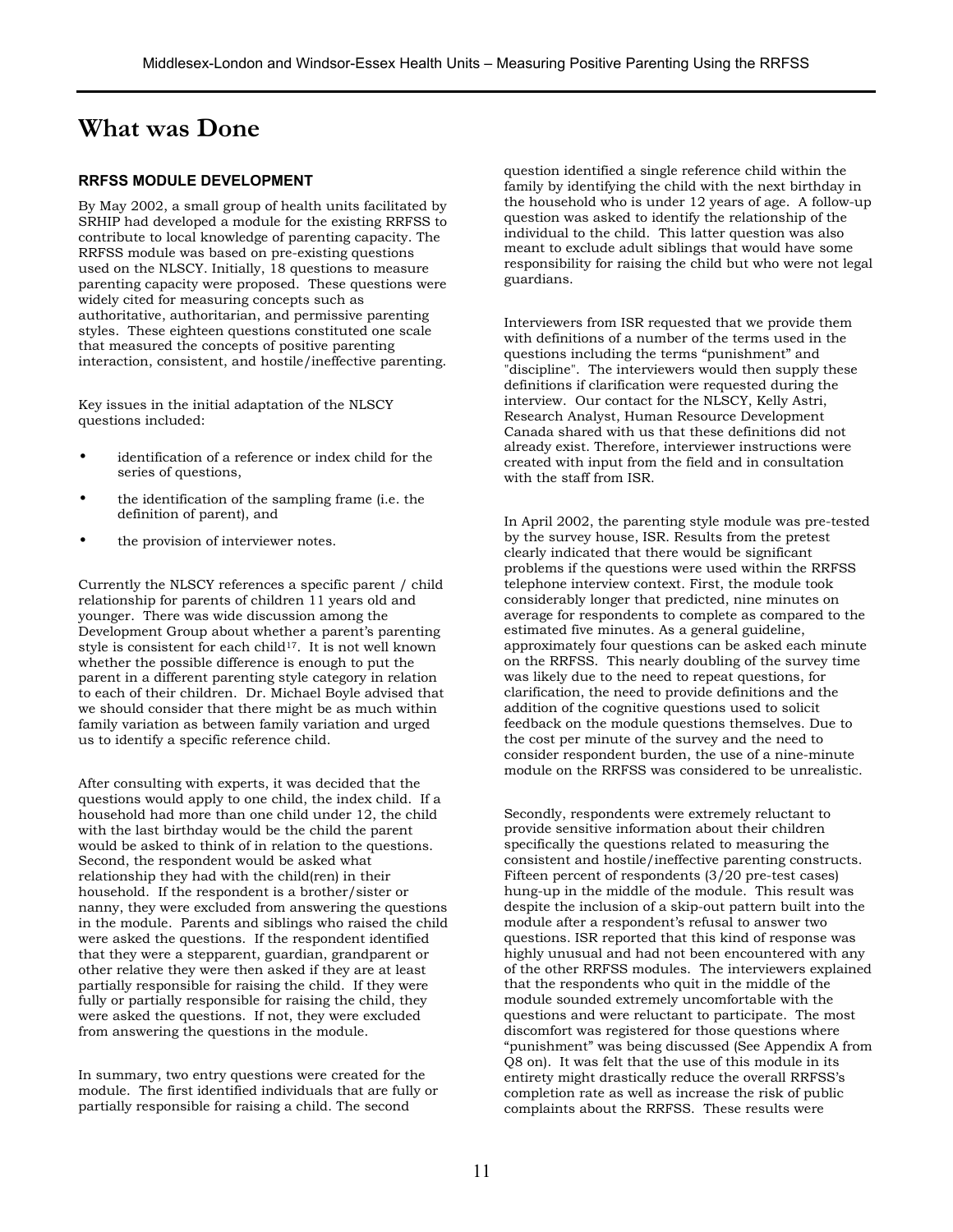# **What was Done**

#### **RRFSS MODULE DEVELOPMENT**

By May 2002, a small group of health units facilitated by SRHIP had developed a module for the existing RRFSS to contribute to local knowledge of parenting capacity. The RRFSS module was based on pre-existing questions used on the NLSCY. Initially, 18 questions to measure parenting capacity were proposed. These questions were widely cited for measuring concepts such as authoritative, authoritarian, and permissive parenting styles. These eighteen questions constituted one scale that measured the concepts of positive parenting interaction, consistent, and hostile/ineffective parenting.

Key issues in the initial adaptation of the NLSCY questions included:

- identification of a reference or index child for the series of questions,
- the identification of the sampling frame (i.e. the definition of parent), and
- the provision of interviewer notes.

Currently the NLSCY references a specific parent / child relationship for parents of children 11 years old and younger. There was wide discussion among the Development Group about whether a parent's parenting style is consistent for each child<sup>17</sup>. It is not well known whether the possible difference is enough to put the parent in a different parenting style category in relation to each of their children. Dr. Michael Boyle advised that we should consider that there might be as much within family variation as between family variation and urged us to identify a specific reference child.

After consulting with experts, it was decided that the questions would apply to one child, the index child. If a household had more than one child under 12, the child with the last birthday would be the child the parent would be asked to think of in relation to the questions. Second, the respondent would be asked what relationship they had with the child(ren) in their household. If the respondent is a brother/sister or nanny, they were excluded from answering the questions in the module. Parents and siblings who raised the child were asked the questions. If the respondent identified that they were a stepparent, guardian, grandparent or other relative they were then asked if they are at least partially responsible for raising the child. If they were fully or partially responsible for raising the child, they were asked the questions. If not, they were excluded from answering the questions in the module.

In summary, two entry questions were created for the module. The first identified individuals that are fully or partially responsible for raising a child. The second

question identified a single reference child within the family by identifying the child with the next birthday in the household who is under 12 years of age. A follow-up question was asked to identify the relationship of the individual to the child. This latter question was also meant to exclude adult siblings that would have some responsibility for raising the child but who were not legal guardians.

Interviewers from ISR requested that we provide them with definitions of a number of the terms used in the questions including the terms "punishment" and "discipline". The interviewers would then supply these definitions if clarification were requested during the interview. Our contact for the NLSCY, Kelly Astri, Research Analyst, Human Resource Development Canada shared with us that these definitions did not already exist. Therefore, interviewer instructions were created with input from the field and in consultation with the staff from ISR.

In April 2002, the parenting style module was pre-tested by the survey house, ISR. Results from the pretest clearly indicated that there would be significant problems if the questions were used within the RRFSS telephone interview context. First, the module took considerably longer that predicted, nine minutes on average for respondents to complete as compared to the estimated five minutes. As a general guideline, approximately four questions can be asked each minute on the RRFSS. This nearly doubling of the survey time was likely due to the need to repeat questions, for clarification, the need to provide definitions and the addition of the cognitive questions used to solicit feedback on the module questions themselves. Due to the cost per minute of the survey and the need to consider respondent burden, the use of a nine-minute module on the RRFSS was considered to be unrealistic.

Secondly, respondents were extremely reluctant to provide sensitive information about their children specifically the questions related to measuring the consistent and hostile/ineffective parenting constructs. Fifteen percent of respondents (3/20 pre-test cases) hung-up in the middle of the module. This result was despite the inclusion of a skip-out pattern built into the module after a respondent's refusal to answer two questions. ISR reported that this kind of response was highly unusual and had not been encountered with any of the other RRFSS modules. The interviewers explained that the respondents who quit in the middle of the module sounded extremely uncomfortable with the questions and were reluctant to participate. The most discomfort was registered for those questions where "punishment" was being discussed (See Appendix A from Q8 on). It was felt that the use of this module in its entirety might drastically reduce the overall RRFSS's completion rate as well as increase the risk of public complaints about the RRFSS. These results were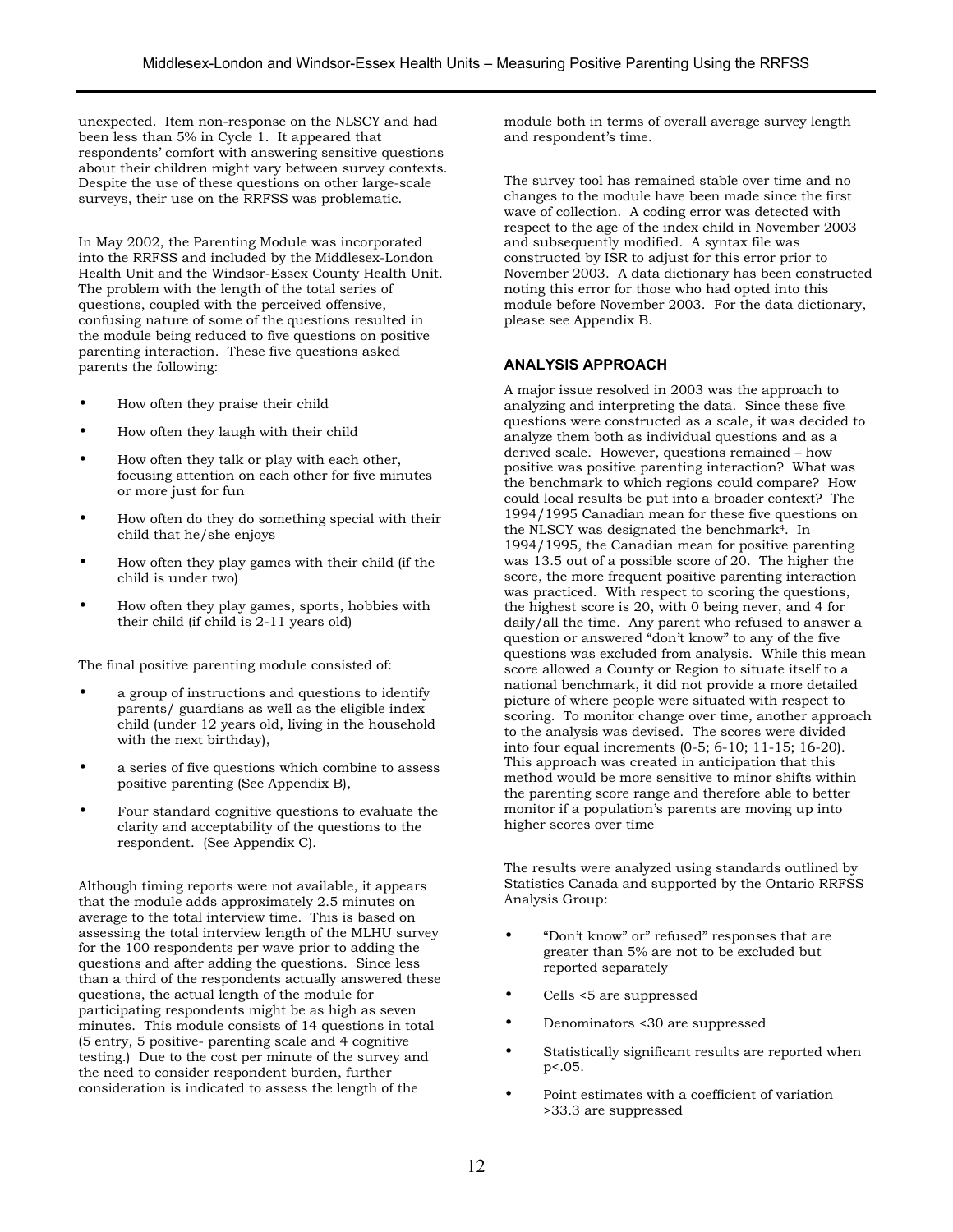unexpected. Item non-response on the NLSCY and had been less than 5% in Cycle 1. It appeared that respondents' comfort with answering sensitive questions about their children might vary between survey contexts. Despite the use of these questions on other large-scale surveys, their use on the RRFSS was problematic.

In May 2002, the Parenting Module was incorporated into the RRFSS and included by the Middlesex-London Health Unit and the Windsor-Essex County Health Unit. The problem with the length of the total series of questions, coupled with the perceived offensive, confusing nature of some of the questions resulted in the module being reduced to five questions on positive parenting interaction. These five questions asked parents the following:

- How often they praise their child
- How often they laugh with their child
- How often they talk or play with each other, focusing attention on each other for five minutes or more just for fun
- How often do they do something special with their child that he/she enjoys
- How often they play games with their child (if the child is under two)
- How often they play games, sports, hobbies with their child (if child is 2-11 years old)

The final positive parenting module consisted of:

- a group of instructions and questions to identify parents/ guardians as well as the eligible index child (under 12 years old, living in the household with the next birthday),
- a series of five questions which combine to assess positive parenting (See Appendix B),
- Four standard cognitive questions to evaluate the clarity and acceptability of the questions to the respondent. (See Appendix C).

Although timing reports were not available, it appears that the module adds approximately 2.5 minutes on average to the total interview time. This is based on assessing the total interview length of the MLHU survey for the 100 respondents per wave prior to adding the questions and after adding the questions. Since less than a third of the respondents actually answered these questions, the actual length of the module for participating respondents might be as high as seven minutes. This module consists of 14 questions in total (5 entry, 5 positive- parenting scale and 4 cognitive testing.) Due to the cost per minute of the survey and the need to consider respondent burden, further consideration is indicated to assess the length of the

module both in terms of overall average survey length and respondent's time.

The survey tool has remained stable over time and no changes to the module have been made since the first wave of collection. A coding error was detected with respect to the age of the index child in November 2003 and subsequently modified. A syntax file was constructed by ISR to adjust for this error prior to November 2003. A data dictionary has been constructed noting this error for those who had opted into this module before November 2003. For the data dictionary, please see Appendix B.

#### **ANALYSIS APPROACH**

A major issue resolved in 2003 was the approach to analyzing and interpreting the data. Since these five questions were constructed as a scale, it was decided to analyze them both as individual questions and as a derived scale. However, questions remained – how positive was positive parenting interaction? What was the benchmark to which regions could compare? How could local results be put into a broader context? The 1994/1995 Canadian mean for these five questions on the NLSCY was designated the benchmark4. In 1994/1995, the Canadian mean for positive parenting was 13.5 out of a possible score of 20. The higher the score, the more frequent positive parenting interaction was practiced. With respect to scoring the questions, the highest score is 20, with 0 being never, and 4 for daily/all the time. Any parent who refused to answer a question or answered "don't know" to any of the five questions was excluded from analysis. While this mean score allowed a County or Region to situate itself to a national benchmark, it did not provide a more detailed picture of where people were situated with respect to scoring. To monitor change over time, another approach to the analysis was devised. The scores were divided into four equal increments (0-5; 6-10; 11-15; 16-20). This approach was created in anticipation that this method would be more sensitive to minor shifts within the parenting score range and therefore able to better monitor if a population's parents are moving up into higher scores over time

The results were analyzed using standards outlined by Statistics Canada and supported by the Ontario RRFSS Analysis Group:

- "Don't know" or" refused" responses that are greater than 5% are not to be excluded but reported separately
- Cells <5 are suppressed
- Denominators <30 are suppressed
- Statistically significant results are reported when p<.05.
- Point estimates with a coefficient of variation >33.3 are suppressed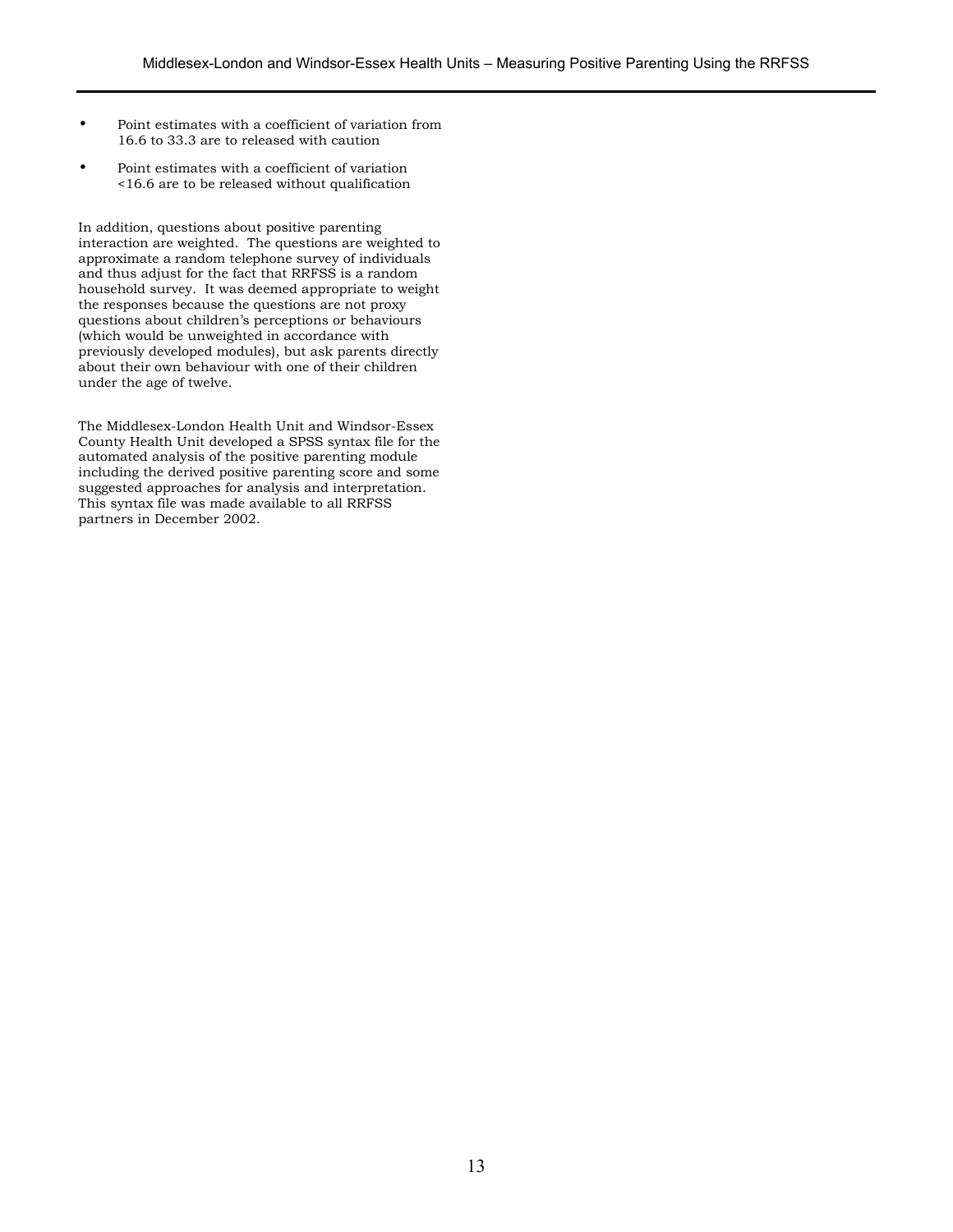- Point estimates with a coefficient of variation from 16.6 to 33.3 are to released with caution
- Point estimates with a coefficient of variation <16.6 are to be released without qualification

In addition, questions about positive parenting interaction are weighted. The questions are weighted to approximate a random telephone survey of individuals and thus adjust for the fact that RRFSS is a random household survey. It was deemed appropriate to weight the responses because the questions are not proxy questions about children's perceptions or behaviours (which would be unweighted in accordance with previously developed modules), but ask parents directly about their own behaviour with one of their children under the age of twelve.

The Middlesex-London Health Unit and Windsor-Essex County Health Unit developed a SPSS syntax file for the automated analysis of the positive parenting module including the derived positive parenting score and some suggested approaches for analysis and interpretation. This syntax file was made available to all RRFSS partners in December 2002.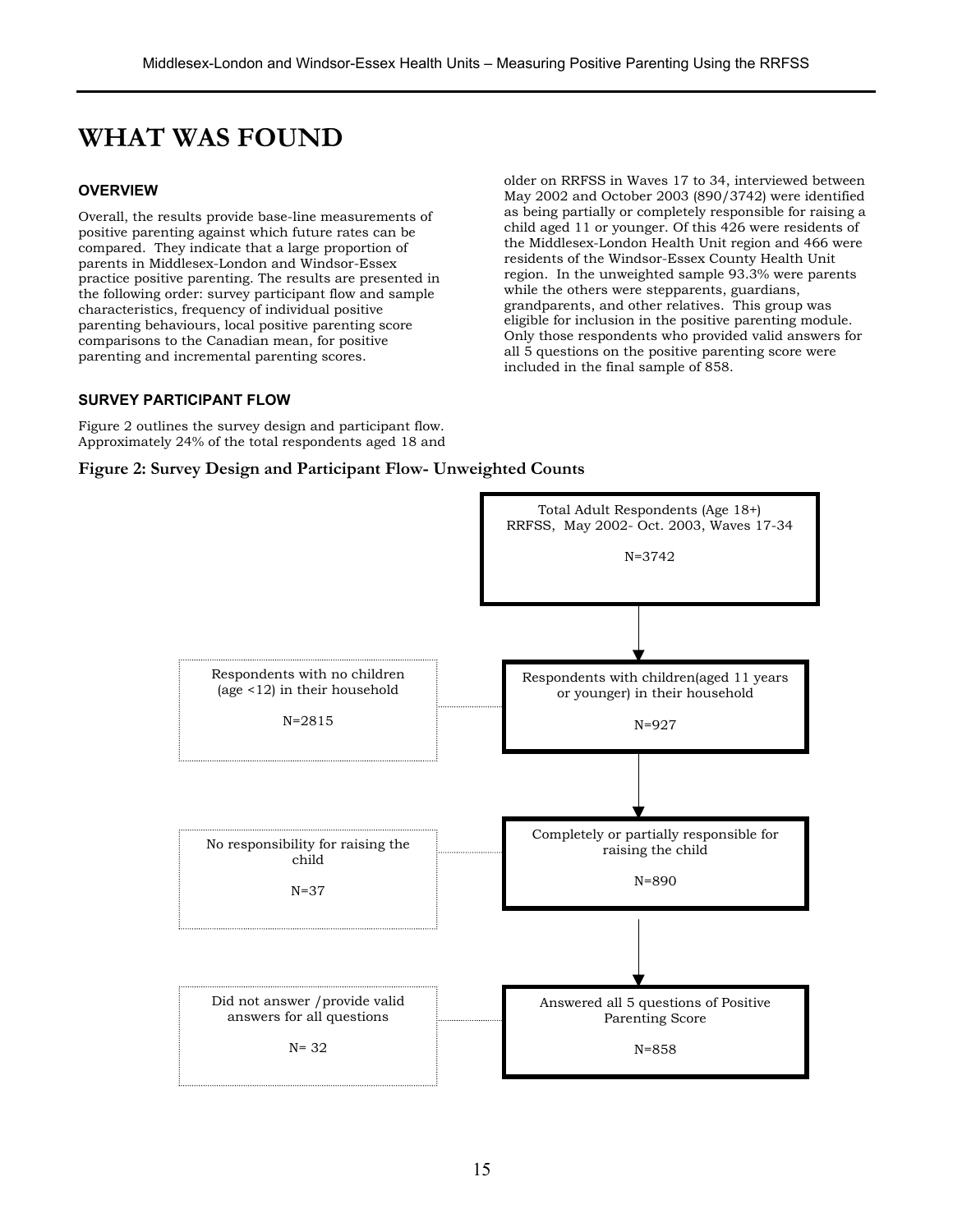# **WHAT WAS FOUND**

#### **OVERVIEW**

Overall, the results provide base-line measurements of positive parenting against which future rates can be compared. They indicate that a large proportion of parents in Middlesex-London and Windsor-Essex practice positive parenting. The results are presented in the following order: survey participant flow and sample characteristics, frequency of individual positive parenting behaviours, local positive parenting score comparisons to the Canadian mean, for positive parenting and incremental parenting scores.

older on RRFSS in Waves 17 to 34, interviewed between May 2002 and October 2003 (890/3742) were identified as being partially or completely responsible for raising a child aged 11 or younger. Of this 426 were residents of the Middlesex-London Health Unit region and 466 were residents of the Windsor-Essex County Health Unit region. In the unweighted sample 93.3% were parents while the others were stepparents, guardians, grandparents, and other relatives. This group was eligible for inclusion in the positive parenting module. Only those respondents who provided valid answers for all 5 questions on the positive parenting score were included in the final sample of 858.

#### **SURVEY PARTICIPANT FLOW**

Figure 2 outlines the survey design and participant flow. Approximately 24% of the total respondents aged 18 and



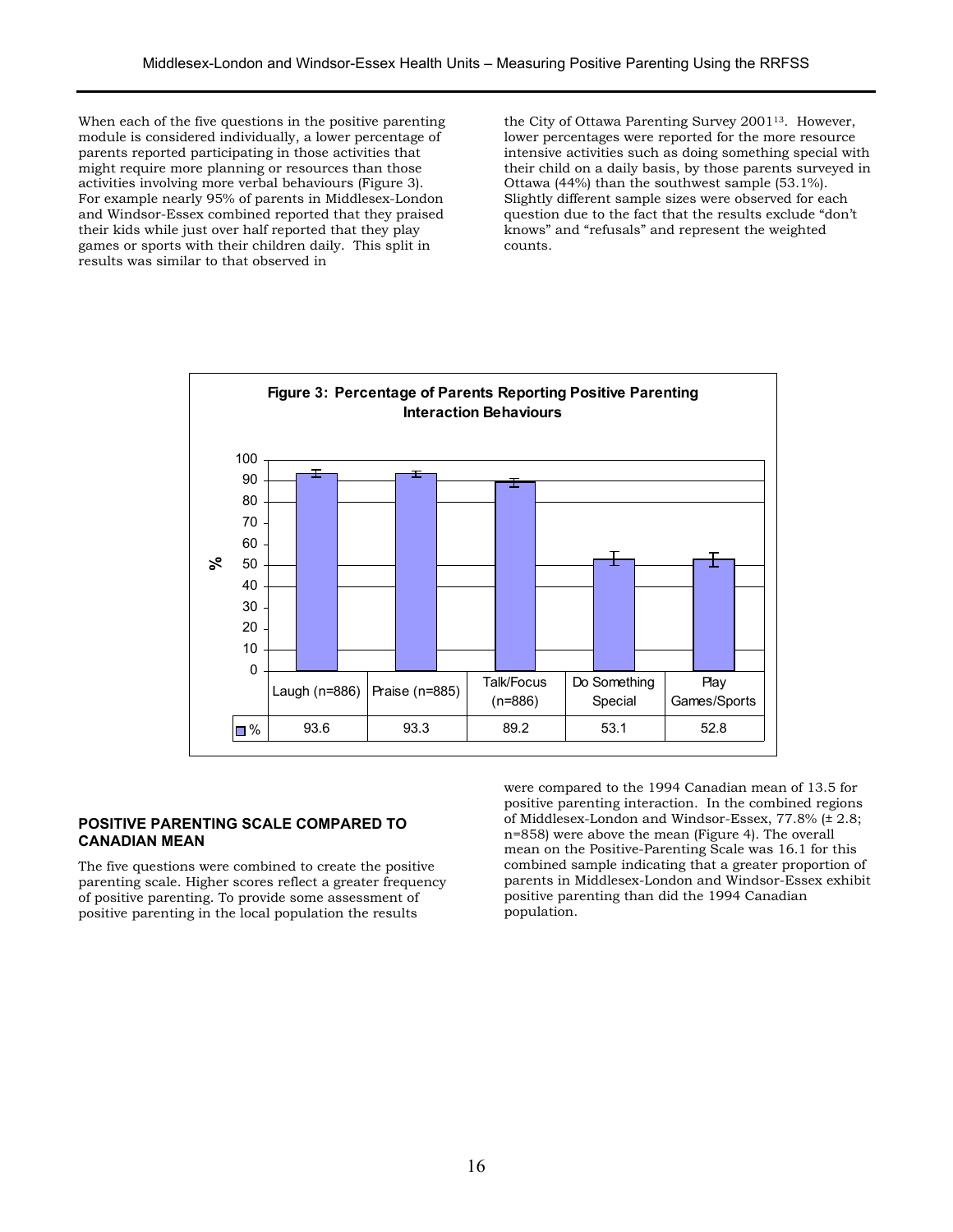When each of the five questions in the positive parenting module is considered individually, a lower percentage of parents reported participating in those activities that might require more planning or resources than those activities involving more verbal behaviours (Figure 3). For example nearly 95% of parents in Middlesex-London and Windsor-Essex combined reported that they praised their kids while just over half reported that they play games or sports with their children daily. This split in results was similar to that observed in

the City of Ottawa Parenting Survey 200113. However, lower percentages were reported for the more resource intensive activities such as doing something special with their child on a daily basis, by those parents surveyed in Ottawa (44%) than the southwest sample (53.1%). Slightly different sample sizes were observed for each question due to the fact that the results exclude "don't knows" and "refusals" and represent the weighted counts.



#### **POSITIVE PARENTING SCALE COMPARED TO CANADIAN MEAN**

The five questions were combined to create the positive parenting scale. Higher scores reflect a greater frequency of positive parenting. To provide some assessment of positive parenting in the local population the results

were compared to the 1994 Canadian mean of 13.5 for positive parenting interaction. In the combined regions of Middlesex-London and Windsor-Essex, 77.8% (± 2.8; n=858) were above the mean (Figure 4). The overall mean on the Positive-Parenting Scale was 16.1 for this combined sample indicating that a greater proportion of parents in Middlesex-London and Windsor-Essex exhibit positive parenting than did the 1994 Canadian population.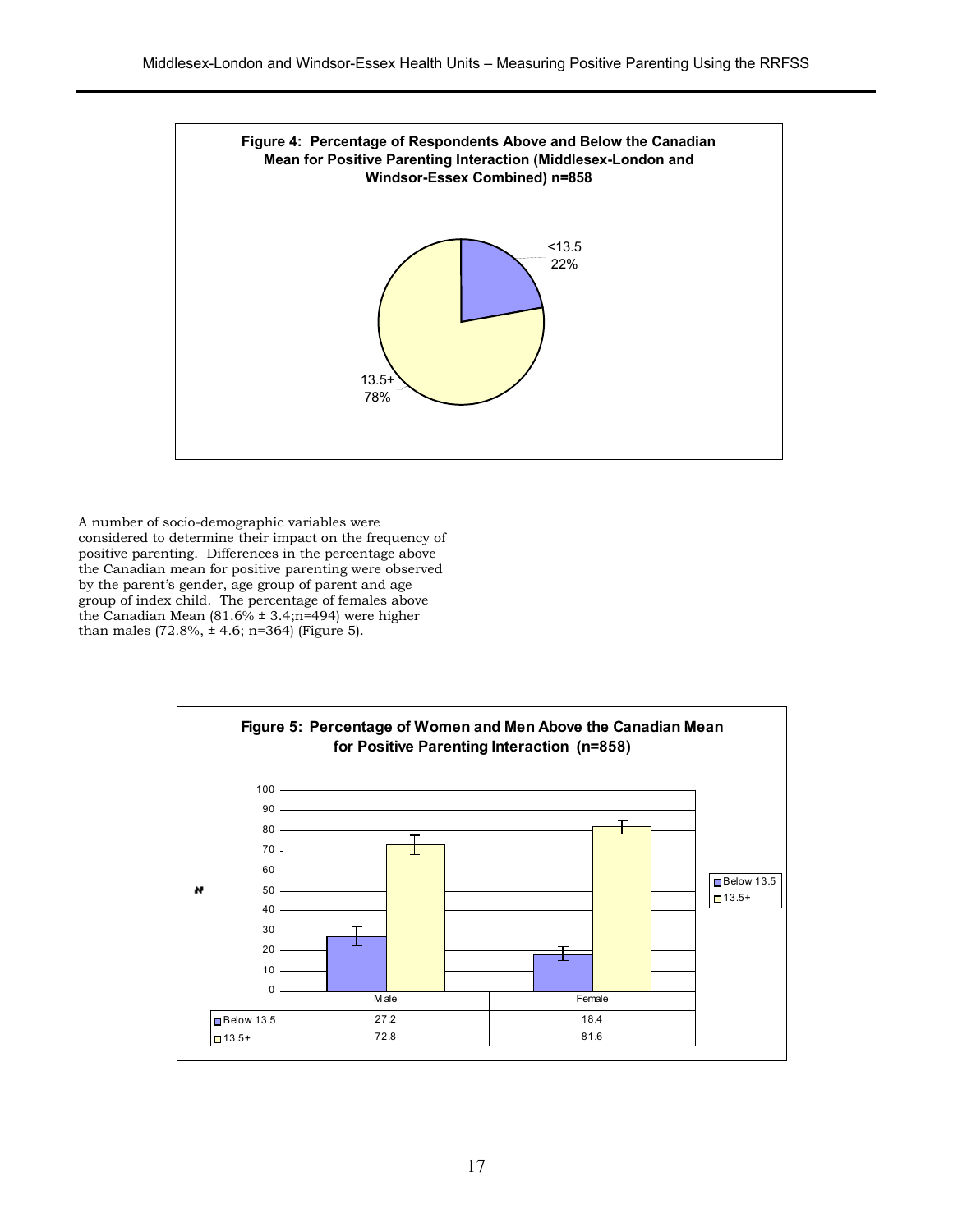

A number of socio-demographic variables were considered to determine their impact on the frequency of positive parenting. Differences in the percentage above the Canadian mean for positive parenting were observed by the parent's gender, age group of parent and age group of index child. The percentage of females above the Canadian Mean (81.6% ± 3.4;n=494) were higher than males  $(72.8\%, \pm 4.6; n=364)$  (Figure 5).

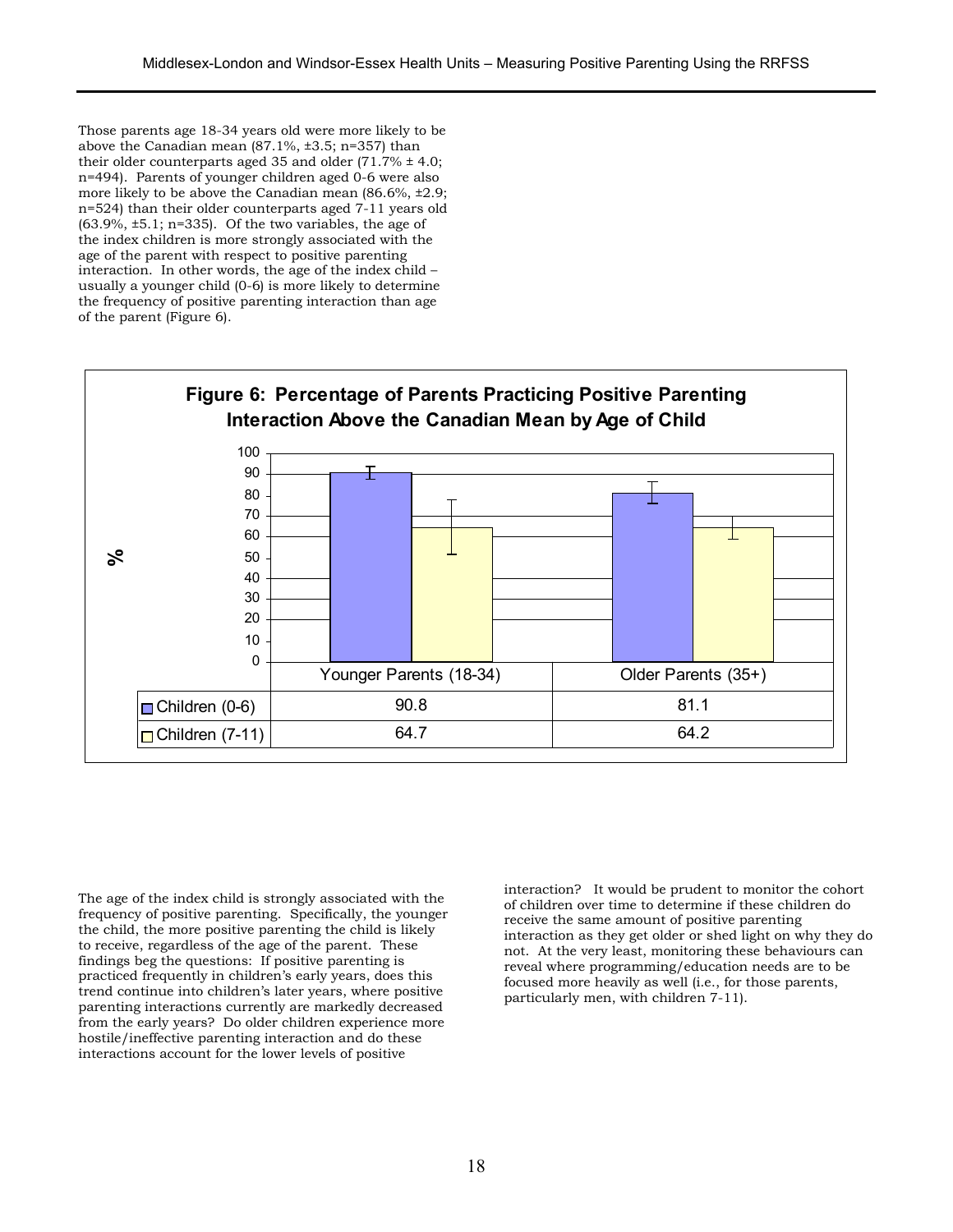Those parents age 18-34 years old were more likely to be above the Canadian mean (87.1%, ±3.5; n=357) than their older counterparts aged 35 and older (71.7%  $\pm$  4.0; n=494). Parents of younger children aged 0-6 were also more likely to be above the Canadian mean (86.6%, ±2.9; n=524) than their older counterparts aged 7-11 years old  $(63.9\%, \pm 5.1; n=335)$ . Of the two variables, the age of the index children is more strongly associated with the age of the parent with respect to positive parenting interaction. In other words, the age of the index child – usually a younger child (0-6) is more likely to determine the frequency of positive parenting interaction than age of the parent (Figure 6).



The age of the index child is strongly associated with the frequency of positive parenting. Specifically, the younger the child, the more positive parenting the child is likely to receive, regardless of the age of the parent. These findings beg the questions: If positive parenting is practiced frequently in children's early years, does this trend continue into children's later years, where positive parenting interactions currently are markedly decreased from the early years? Do older children experience more hostile/ineffective parenting interaction and do these interactions account for the lower levels of positive

interaction? It would be prudent to monitor the cohort of children over time to determine if these children do receive the same amount of positive parenting interaction as they get older or shed light on why they do not. At the very least, monitoring these behaviours can reveal where programming/education needs are to be focused more heavily as well (i.e., for those parents, particularly men, with children 7-11).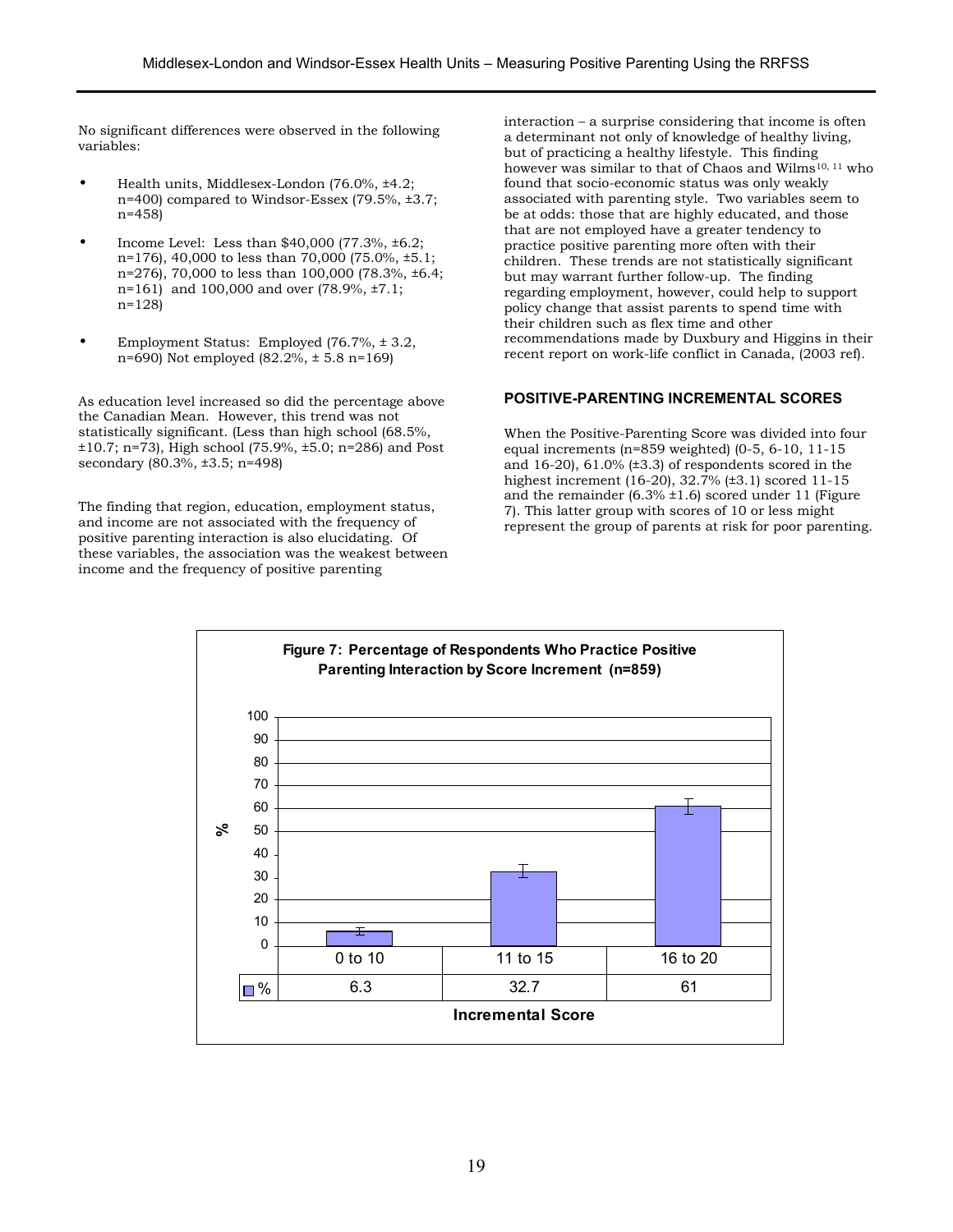No significant differences were observed in the following variables:

- Health units, Middlesex-London (76.0%, ±4.2; n=400) compared to Windsor-Essex (79.5%, ±3.7; n=458)
- Income Level: Less than \$40,000 (77.3%, ±6.2; n=176), 40,000 to less than 70,000 (75.0%, ±5.1; n=276), 70,000 to less than 100,000 (78.3%, ±6.4; n=161) and 100,000 and over (78.9%, ±7.1; n=128)
- Employment Status: Employed (76.7%, ± 3.2, n=690) Not employed (82.2%, ± 5.8 n=169)

As education level increased so did the percentage above the Canadian Mean. However, this trend was not statistically significant. (Less than high school (68.5%, ±10.7; n=73), High school (75.9%, ±5.0; n=286) and Post secondary (80.3%, ±3.5; n=498)

The finding that region, education, employment status, and income are not associated with the frequency of positive parenting interaction is also elucidating. Of these variables, the association was the weakest between income and the frequency of positive parenting

interaction – a surprise considering that income is often a determinant not only of knowledge of healthy living, but of practicing a healthy lifestyle. This finding however was similar to that of Chaos and Wilms<sup>10, 11</sup> who found that socio-economic status was only weakly associated with parenting style. Two variables seem to be at odds: those that are highly educated, and those that are not employed have a greater tendency to practice positive parenting more often with their children. These trends are not statistically significant but may warrant further follow-up. The finding regarding employment, however, could help to support policy change that assist parents to spend time with their children such as flex time and other recommendations made by Duxbury and Higgins in their recent report on work-life conflict in Canada, (2003 ref).

#### **POSITIVE-PARENTING INCREMENTAL SCORES**

When the Positive-Parenting Score was divided into four equal increments (n=859 weighted) (0-5, 6-10, 11-15 and 16-20), 61.0% (±3.3) of respondents scored in the highest increment (16-20), 32.7% (±3.1) scored 11-15 and the remainder (6.3% ±1.6) scored under 11 (Figure 7). This latter group with scores of 10 or less might represent the group of parents at risk for poor parenting.

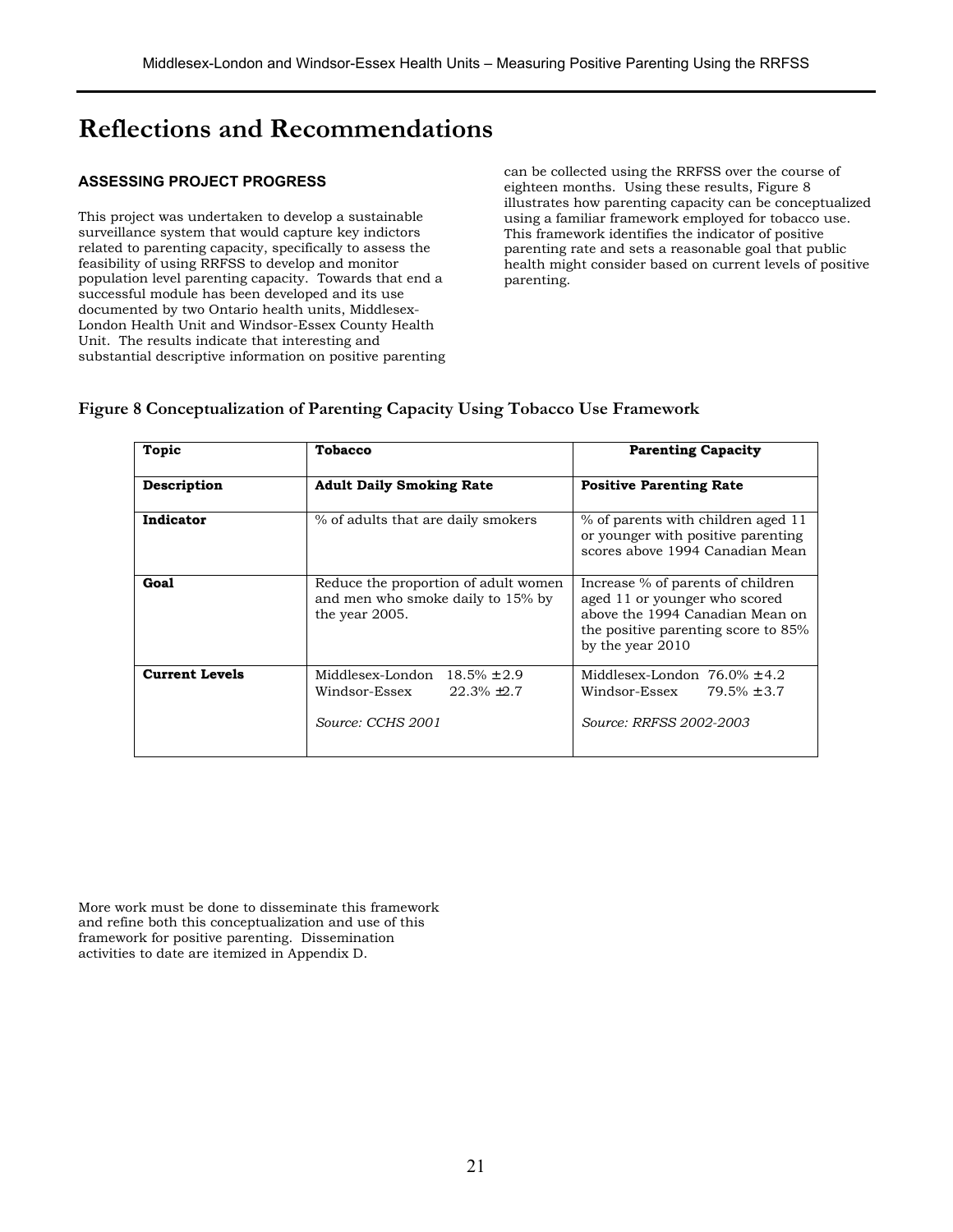# **Reflections and Recommendations**

#### **ASSESSING PROJECT PROGRESS**

This project was undertaken to develop a sustainable surveillance system that would capture key indictors related to parenting capacity, specifically to assess the feasibility of using RRFSS to develop and monitor population level parenting capacity. Towards that end a successful module has been developed and its use documented by two Ontario health units, Middlesex-London Health Unit and Windsor-Essex County Health Unit. The results indicate that interesting and substantial descriptive information on positive parenting

can be collected using the RRFSS over the course of eighteen months. Using these results, Figure 8 illustrates how parenting capacity can be conceptualized using a familiar framework employed for tobacco use. This framework identifies the indicator of positive parenting rate and sets a reasonable goal that public health might consider based on current levels of positive parenting.

#### **Figure 8 Conceptualization of Parenting Capacity Using Tobacco Use Framework**

| Topic                 | <b>Tobacco</b>                                                                              | <b>Parenting Capacity</b>                                                                                                                                        |  |  |  |
|-----------------------|---------------------------------------------------------------------------------------------|------------------------------------------------------------------------------------------------------------------------------------------------------------------|--|--|--|
| Description           | <b>Adult Daily Smoking Rate</b>                                                             | <b>Positive Parenting Rate</b>                                                                                                                                   |  |  |  |
| Indicator             | % of adults that are daily smokers                                                          | % of parents with children aged 11<br>or younger with positive parenting<br>scores above 1994 Canadian Mean                                                      |  |  |  |
| Goal                  | Reduce the proportion of adult women<br>and men who smoke daily to 15% by<br>the year 2005. | Increase % of parents of children<br>aged 11 or younger who scored<br>above the 1994 Canadian Mean on<br>the positive parenting score to 85%<br>by the year 2010 |  |  |  |
| <b>Current Levels</b> | Middlesex-London $18.5\% \pm 2.9$<br>$22.3\% +2.7$<br>Windsor-Essex<br>Source: CCHS 2001    | Middlesex-London $76.0\% \pm 4.2$<br>Windsor-Essex $79.5\% \pm 3.7$<br>Source: RRFSS 2002-2003                                                                   |  |  |  |

More work must be done to disseminate this framework and refine both this conceptualization and use of this framework for positive parenting. Dissemination activities to date are itemized in Appendix D.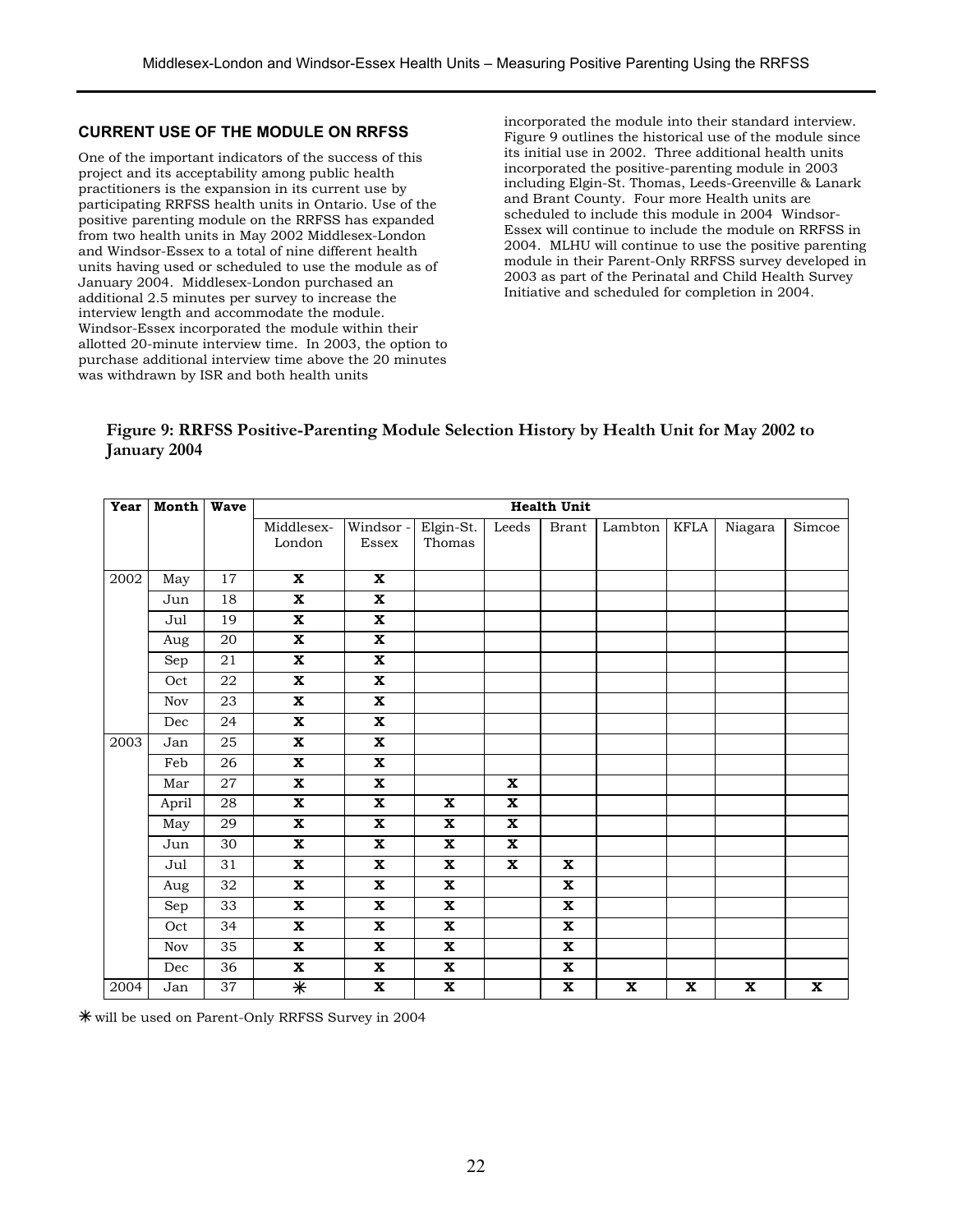#### **CURRENT USE OF THE MODULE ON RRFSS**

One of the important indicators of the success of this project and its acceptability among public health practitioners is the expansion in its current use by participating RRFSS health units in Ontario. Use of the positive parenting module on the RRFSS has expanded from two health units in May 2002 Middlesex-London and Windsor-Essex to a total of nine different health units having used or scheduled to use the module as of January 2004. Middlesex-London purchased an additional 2.5 minutes per survey to increase the interview length and accommodate the module. Windsor-Essex incorporated the module within their allotted 20-minute interview time. In 2003, the option to purchase additional interview time above the 20 minutes was withdrawn by ISR and both health units

incorporated the module into their standard interview. Figure 9 outlines the historical use of the module since its initial use in 2002. Three additional health units incorporated the positive-parenting module in 2003 including Elgin-St. Thomas, Leeds-Greenville & Lanark and Brant County. Four more Health units are scheduled to include this module in 2004 Windsor-Essex will continue to include the module on RRFSS in 2004. MLHU will continue to use the positive parenting module in their Parent-Only RRFSS survey developed in 2003 as part of the Perinatal and Child Health Survey Initiative and scheduled for completion in 2004.

#### **Figure 9: RRFSS Positive-Parenting Module Selection History by Health Unit for May 2002 to January 2004**

| Year | Month | <b>Wave</b> | <b>Health Unit</b>        |                           |                           |                           |                           |                           |                           |             |             |
|------|-------|-------------|---------------------------|---------------------------|---------------------------|---------------------------|---------------------------|---------------------------|---------------------------|-------------|-------------|
|      |       |             | Middlesex-<br>London      | Windsor -<br>Essex        | Elgin-St.<br>Thomas       | Leeds                     | <b>Brant</b>              | Lambton                   | KFLA                      | Niagara     | Simcoe      |
| 2002 | May   | 17          | $\mathbf x$               | $\mathbf{x}$              |                           |                           |                           |                           |                           |             |             |
|      | Jun   | 18          | $\overline{\mathbf{x}}$   | $\overline{\mathbf{x}}$   |                           |                           |                           |                           |                           |             |             |
|      | Jul   | 19          | $\mathbf x$               | $\mathbf x$               |                           |                           |                           |                           |                           |             |             |
|      | Aug   | 20          | $\overline{\mathbf{x}}$   | $\overline{\mathbf{x}}$   |                           |                           |                           |                           |                           |             |             |
|      | Sep   | 21          | $\overline{\mathbf{x}}$   | $\mathbf x$               |                           |                           |                           |                           |                           |             |             |
|      | Oct   | 22          | $\overline{\mathbf{x}}$   | $\overline{\mathbf{x}}$   |                           |                           |                           |                           |                           |             |             |
|      | Nov   | 23          | $\mathbf x$               | $\mathbf x$               |                           |                           |                           |                           |                           |             |             |
|      | Dec   | 24          | $\overline{\mathbf{x}}$   | $\overline{\mathbf{x}}$   |                           |                           |                           |                           |                           |             |             |
| 2003 | Jan   | 25          | $\overline{\mathbf{x}}$   | $\overline{\mathbf{x}}$   |                           |                           |                           |                           |                           |             |             |
|      | Feb   | 26          | $\overline{\mathbf{x}}$   | $\overline{\mathbf{x}}$   |                           |                           |                           |                           |                           |             |             |
|      | Mar   | $\sqrt{27}$ | $\overline{\mathbf{x}}$   | $\overline{\mathbf{x}}$   |                           | $\mathbf{x}$              |                           |                           |                           |             |             |
|      | April | $\bf 28$    | $\overline{\mathbf{x}}$   | $\overline{\mathbf{x}}$   | $\overline{\mathbf{x}}$   | $\mathbf x$               |                           |                           |                           |             |             |
|      | May   | 29          | $\overline{\mathbf{x}}$   | $\overline{\mathbf{x}}$   | $\overline{\mathbf{x}}$   | $\mathbf x$               |                           |                           |                           |             |             |
|      | Jun   | 30          | $\boldsymbol{\mathrm{X}}$ | $\boldsymbol{\mathrm{x}}$ | $\boldsymbol{\mathrm{X}}$ | $\boldsymbol{\mathrm{X}}$ |                           |                           |                           |             |             |
|      | Jul   | 31          | $\mathbf x$               | $\mathbf x$               | $\boldsymbol{\mathrm{x}}$ | $\mathbf x$               | $\mathbf{x}$              |                           |                           |             |             |
|      | Aug   | 32          | $\boldsymbol{\mathrm{X}}$ | $\boldsymbol{\mathrm{X}}$ | $\boldsymbol{\mathrm{X}}$ |                           | $\mathbf{x}$              |                           |                           |             |             |
|      | Sep   | 33          | $\boldsymbol{\mathrm{X}}$ | $\mathbf x$               | $\boldsymbol{\mathrm{x}}$ |                           | $\boldsymbol{\mathrm{X}}$ |                           |                           |             |             |
|      | Oct   | 34          | $\boldsymbol{\mathrm{x}}$ | $\boldsymbol{\mathrm{x}}$ | $\boldsymbol{\mathrm{x}}$ |                           | $\mathbf{x}$              |                           |                           |             |             |
|      | Nov   | 35          | $\overline{\mathbf{x}}$   | $\mathbf x$               | $\boldsymbol{\mathrm{X}}$ |                           | $\boldsymbol{\mathrm{x}}$ |                           |                           |             |             |
|      | Dec   | 36          | $\boldsymbol{\mathrm{x}}$ | $\boldsymbol{\mathrm{X}}$ | $\mathbf x$               |                           | $\mathbf{x}$              |                           |                           |             |             |
| 2004 | Jan   | 37          | $\overline{\ast}$         | $\mathbf x$               | $\boldsymbol{\mathrm{x}}$ |                           | $\mathbf x$               | $\boldsymbol{\mathrm{X}}$ | $\boldsymbol{\mathrm{x}}$ | $\mathbf x$ | $\mathbf x$ |

✳ will be used on Parent-Only RRFSS Survey in 2004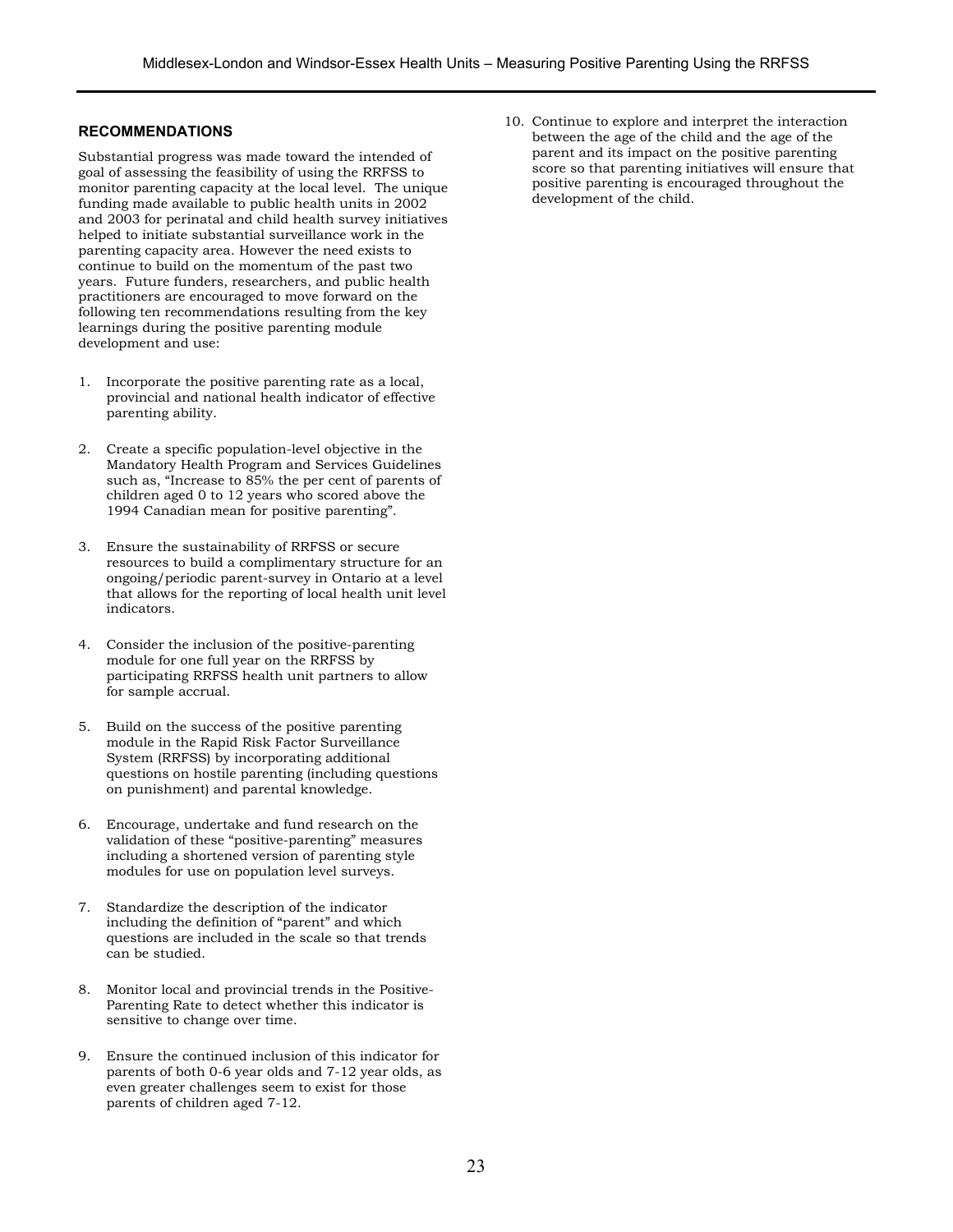#### **RECOMMENDATIONS**

Substantial progress was made toward the intended of goal of assessing the feasibility of using the RRFSS to monitor parenting capacity at the local level. The unique funding made available to public health units in 2002 and 2003 for perinatal and child health survey initiatives helped to initiate substantial surveillance work in the parenting capacity area. However the need exists to continue to build on the momentum of the past two years. Future funders, researchers, and public health practitioners are encouraged to move forward on the following ten recommendations resulting from the key learnings during the positive parenting module development and use:

- 1. Incorporate the positive parenting rate as a local, provincial and national health indicator of effective parenting ability.
- 2. Create a specific population-level objective in the Mandatory Health Program and Services Guidelines such as, "Increase to 85% the per cent of parents of children aged 0 to 12 years who scored above the 1994 Canadian mean for positive parenting".
- 3. Ensure the sustainability of RRFSS or secure resources to build a complimentary structure for an ongoing/periodic parent-survey in Ontario at a level that allows for the reporting of local health unit level indicators.
- 4. Consider the inclusion of the positive-parenting module for one full year on the RRFSS by participating RRFSS health unit partners to allow for sample accrual.
- 5. Build on the success of the positive parenting module in the Rapid Risk Factor Surveillance System (RRFSS) by incorporating additional questions on hostile parenting (including questions on punishment) and parental knowledge.
- 6. Encourage, undertake and fund research on the validation of these "positive-parenting" measures including a shortened version of parenting style modules for use on population level surveys.
- 7. Standardize the description of the indicator including the definition of "parent" and which questions are included in the scale so that trends can be studied.
- 8. Monitor local and provincial trends in the Positive-Parenting Rate to detect whether this indicator is sensitive to change over time.
- 9. Ensure the continued inclusion of this indicator for parents of both 0-6 year olds and 7-12 year olds, as even greater challenges seem to exist for those parents of children aged 7-12.

10. Continue to explore and interpret the interaction between the age of the child and the age of the parent and its impact on the positive parenting score so that parenting initiatives will ensure that positive parenting is encouraged throughout the development of the child.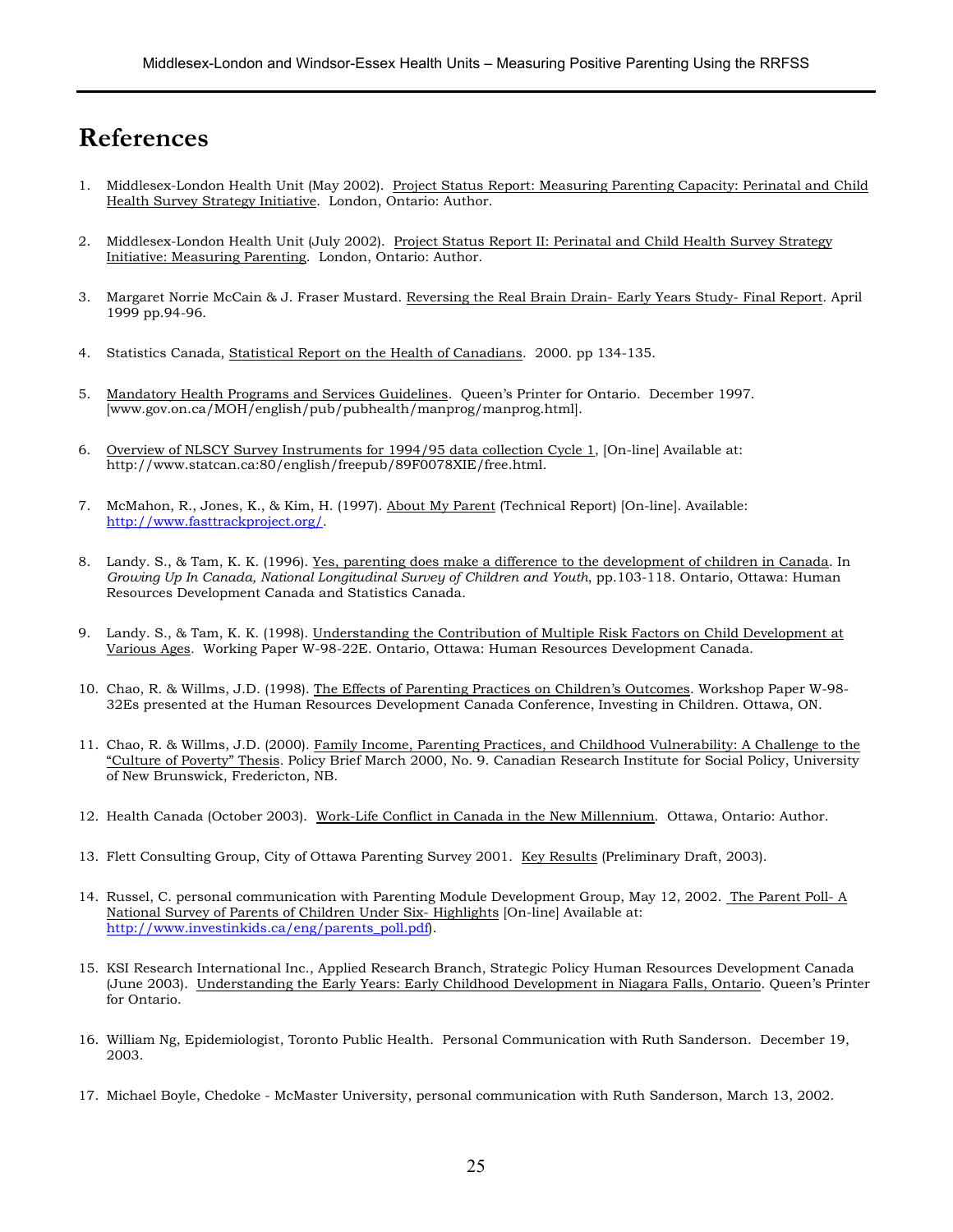# **References**

- 1. Middlesex-London Health Unit (May 2002). Project Status Report: Measuring Parenting Capacity: Perinatal and Child Health Survey Strategy Initiative. London, Ontario: Author.
- 2. Middlesex-London Health Unit (July 2002). Project Status Report II: Perinatal and Child Health Survey Strategy Initiative: Measuring Parenting. London, Ontario: Author.
- 3. Margaret Norrie McCain & J. Fraser Mustard. Reversing the Real Brain Drain- Early Years Study- Final Report. April 1999 pp.94-96.
- 4. Statistics Canada, Statistical Report on the Health of Canadians. 2000. pp 134-135.
- 5. Mandatory Health Programs and Services Guidelines. Queen's Printer for Ontario. December 1997. [www.gov.on.ca/MOH/english/pub/pubhealth/manprog/manprog.html].
- 6. Overview of NLSCY Survey Instruments for 1994/95 data collection Cycle 1, [On-line] Available at: http://www.statcan.ca:80/english/freepub/89F0078XIE/free.html.
- 7. McMahon, R., Jones, K., & Kim, H. (1997). About My Parent (Technical Report) [On-line]. Available: http://www.fasttrackproject.org/.
- 8. Landy. S., & Tam, K. K. (1996). Yes, parenting does make a difference to the development of children in Canada. In *Growing Up In Canada, National Longitudinal Survey of Children and Youth*, pp.103-118. Ontario, Ottawa: Human Resources Development Canada and Statistics Canada.
- 9. Landy. S., & Tam, K. K. (1998). Understanding the Contribution of Multiple Risk Factors on Child Development at Various Ages*.* Working Paper W-98-22E. Ontario, Ottawa: Human Resources Development Canada.
- 10. Chao, R. & Willms, J.D. (1998). The Effects of Parenting Practices on Children's Outcomes. Workshop Paper W-98- 32Es presented at the Human Resources Development Canada Conference, Investing in Children. Ottawa, ON.
- 11. Chao, R. & Willms, J.D. (2000). Family Income, Parenting Practices, and Childhood Vulnerability: A Challenge to the "Culture of Poverty" Thesis*.* Policy Brief March 2000, No. 9. Canadian Research Institute for Social Policy, University of New Brunswick, Fredericton, NB.
- 12. Health Canada (October 2003). Work-Life Conflict in Canada in the New Millennium. Ottawa, Ontario: Author.
- 13. Flett Consulting Group, City of Ottawa Parenting Survey 2001. Key Results (Preliminary Draft, 2003).
- 14. Russel, C. personal communication with Parenting Module Development Group, May 12, 2002. The Parent Poll- A National Survey of Parents of Children Under Six- Highlights [On-line] Available at: http://www.investinkids.ca/eng/parents\_poll.pdf).
- 15. KSI Research International Inc., Applied Research Branch, Strategic Policy Human Resources Development Canada (June 2003). Understanding the Early Years: Early Childhood Development in Niagara Falls, Ontario. Queen's Printer for Ontario.
- 16. William Ng, Epidemiologist, Toronto Public Health. Personal Communication with Ruth Sanderson. December 19, 2003.
- 17. Michael Boyle, Chedoke McMaster University, personal communication with Ruth Sanderson, March 13, 2002.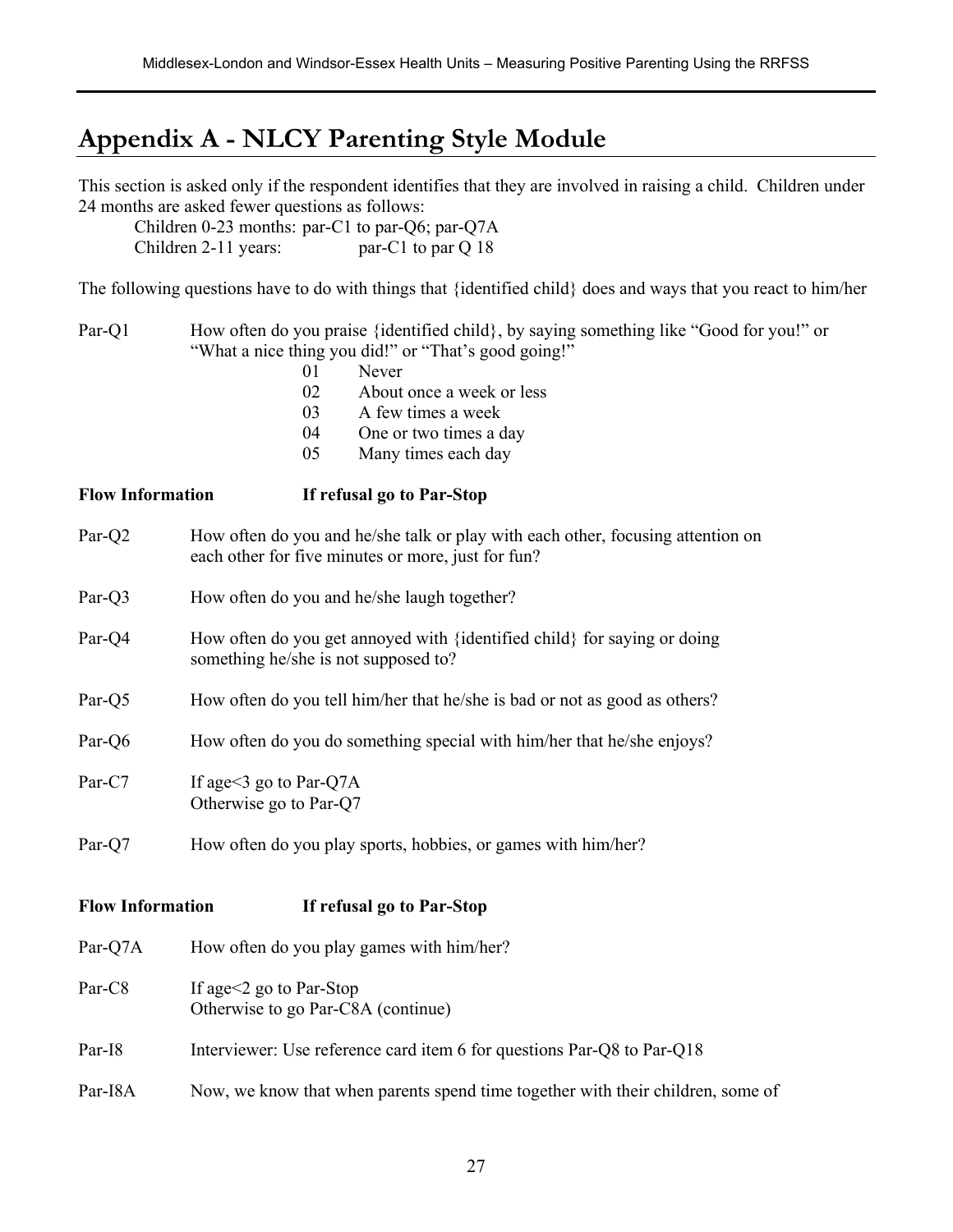# **Appendix A - NLCY Parenting Style Module**

This section is asked only if the respondent identifies that they are involved in raising a child. Children under 24 months are asked fewer questions as follows:

Children 0-23 months: par-C1 to par-Q6; par-Q7A Children 2-11 years: par-C1 to par Q 18

The following questions have to do with things that {identified child} does and ways that you react to him/her

| Par-Q1                  | How often do you praise {identified child}, by saying something like "Good for you!" or<br>"What a nice thing you did!" or "That's good going!"<br>Never<br>01<br>02<br>About once a week or less<br>03<br>A few times a week<br>04<br>One or two times a day<br>05<br>Many times each day |  |  |  |  |  |  |
|-------------------------|--------------------------------------------------------------------------------------------------------------------------------------------------------------------------------------------------------------------------------------------------------------------------------------------|--|--|--|--|--|--|
| <b>Flow Information</b> | If refusal go to Par-Stop                                                                                                                                                                                                                                                                  |  |  |  |  |  |  |
| Par-Q2                  | How often do you and he/she talk or play with each other, focusing attention on<br>each other for five minutes or more, just for fun?                                                                                                                                                      |  |  |  |  |  |  |
| Par-Q3                  | How often do you and he/she laugh together?                                                                                                                                                                                                                                                |  |  |  |  |  |  |
| Par-Q4                  | How often do you get annoyed with {identified child} for saying or doing<br>something he/she is not supposed to?                                                                                                                                                                           |  |  |  |  |  |  |
| Par-Q5                  | How often do you tell him/her that he/she is bad or not as good as others?                                                                                                                                                                                                                 |  |  |  |  |  |  |
| Par-Q6                  | How often do you do something special with him/her that he/she enjoys?                                                                                                                                                                                                                     |  |  |  |  |  |  |
| Par-C7                  | If age < 3 go to Par-Q7A<br>Otherwise go to Par-Q7                                                                                                                                                                                                                                         |  |  |  |  |  |  |
| Par-Q7                  | How often do you play sports, hobbies, or games with him/her?                                                                                                                                                                                                                              |  |  |  |  |  |  |
| <b>Flow Information</b> | If refusal go to Par-Stop                                                                                                                                                                                                                                                                  |  |  |  |  |  |  |
| Par-Q7A                 | How often do you play games with him/her?                                                                                                                                                                                                                                                  |  |  |  |  |  |  |
| Par-C8                  | If age<2 go to Par-Stop<br>Otherwise to go Par-C8A (continue)                                                                                                                                                                                                                              |  |  |  |  |  |  |
| Par-I8                  | Interviewer: Use reference card item 6 for questions Par-Q8 to Par-Q18                                                                                                                                                                                                                     |  |  |  |  |  |  |
| Par-I8A                 | Now, we know that when parents spend time together with their children, some of                                                                                                                                                                                                            |  |  |  |  |  |  |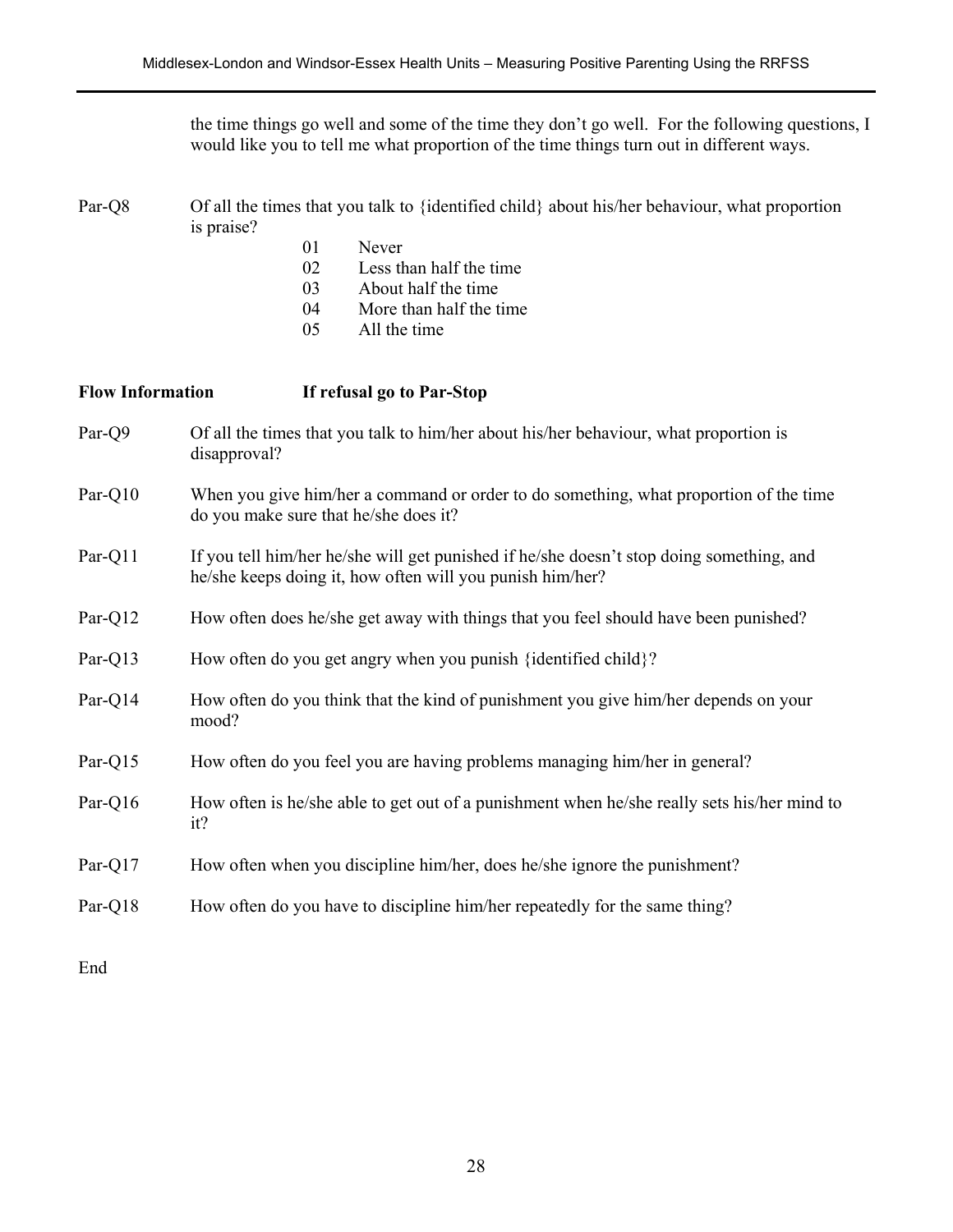the time things go well and some of the time they don't go well. For the following questions, I would like you to tell me what proportion of the time things turn out in different ways.

## Par-Q8 Of all the times that you talk to {identified child} about his/her behaviour, what proportion is praise?

- 01 Never
- 02 Less than half the time
- 03 About half the time
- 04 More than half the time
- 05 All the time

#### **Flow Information If refusal go to Par-Stop**

- Par-Q9 Of all the times that you talk to him/her about his/her behaviour, what proportion is disapproval?
- Par-Q10 When you give him/her a command or order to do something, what proportion of the time do you make sure that he/she does it?
- Par-Q11 If you tell him/her he/she will get punished if he/she doesn't stop doing something, and he/she keeps doing it, how often will you punish him/her?
- Par-Q12 How often does he/she get away with things that you feel should have been punished?
- Par-Q13 How often do you get angry when you punish {identified child}?
- Par-Q14 How often do you think that the kind of punishment you give him/her depends on your mood?
- Par-Q15 How often do you feel you are having problems managing him/her in general?
- Par-Q16 How often is he/she able to get out of a punishment when he/she really sets his/her mind to it?
- Par-Q17 How often when you discipline him/her, does he/she ignore the punishment?
- Par-Q18 How often do you have to discipline him/her repeatedly for the same thing?

End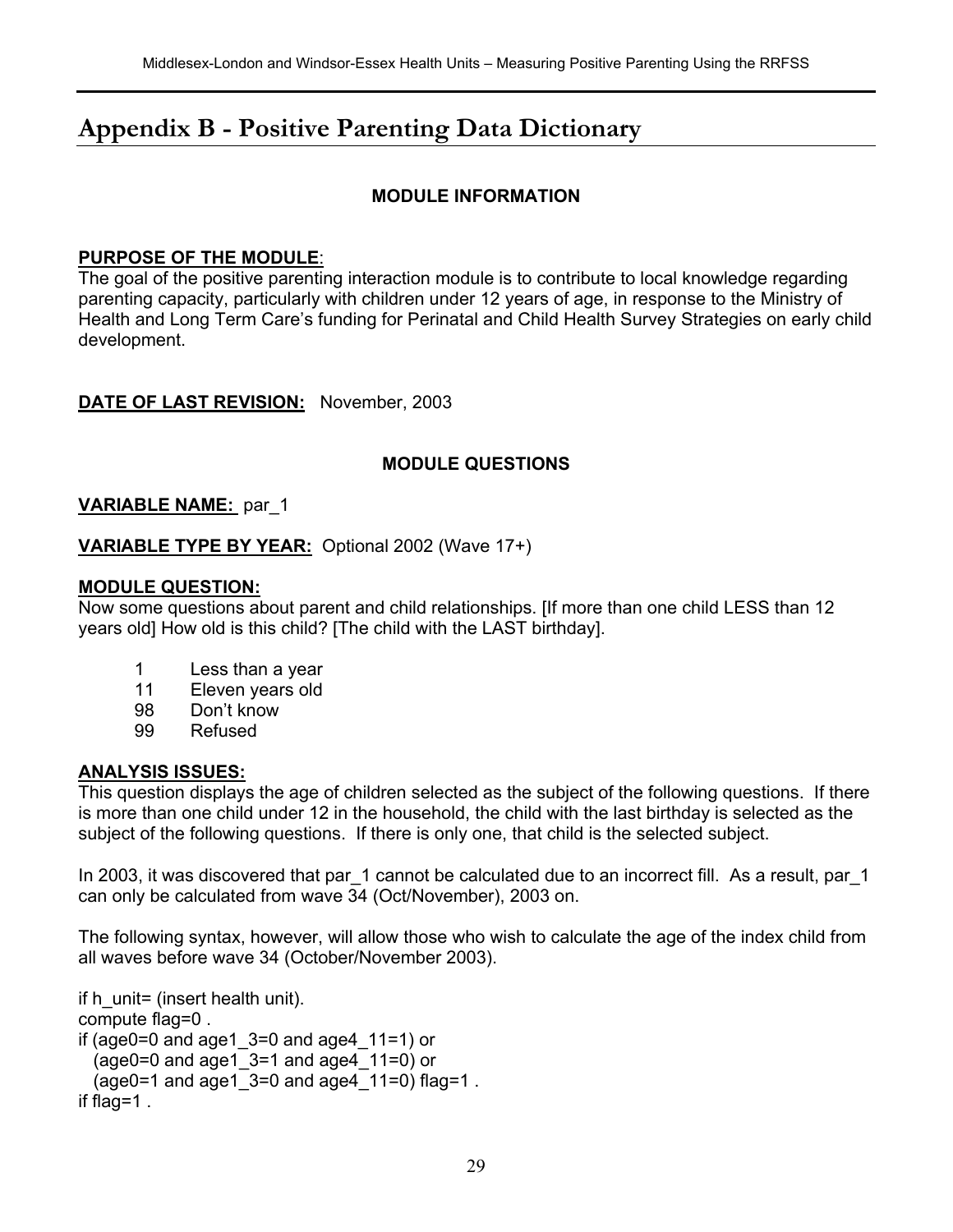# **Appendix B - Positive Parenting Data Dictionary**

## **MODULE INFORMATION**

#### **PURPOSE OF THE MODULE**:

The goal of the positive parenting interaction module is to contribute to local knowledge regarding parenting capacity, particularly with children under 12 years of age, in response to the Ministry of Health and Long Term Care's funding for Perinatal and Child Health Survey Strategies on early child development.

**DATE OF LAST REVISION:** November, 2003

# **MODULE QUESTIONS**

## **VARIABLE NAME:** par\_1

### **VARIABLE TYPE BY YEAR:** Optional 2002 (Wave 17+)

#### **MODULE QUESTION:**

Now some questions about parent and child relationships. [If more than one child LESS than 12 years old] How old is this child? [The child with the LAST birthday].

- 1 Less than a year
- 11 Eleven years old
- 98 Don't know
- 99 Refused

### **ANALYSIS ISSUES:**

This question displays the age of children selected as the subject of the following questions. If there is more than one child under 12 in the household, the child with the last birthday is selected as the subject of the following questions. If there is only one, that child is the selected subject.

In 2003, it was discovered that par 1 cannot be calculated due to an incorrect fill. As a result, par 1 can only be calculated from wave 34 (Oct/November), 2003 on.

The following syntax, however, will allow those who wish to calculate the age of the index child from all waves before wave 34 (October/November 2003).

```
if h_unit= (insert health unit).
compute flag=0 .
if (age0=0 and age1 3=0 and age4 11=1) or
  (age0=0 and age1_3=1 and age4_11=0) or
 (aqe0=1 and age1 3=0 and age4 11=0) flag=1.
if flag=1 .
```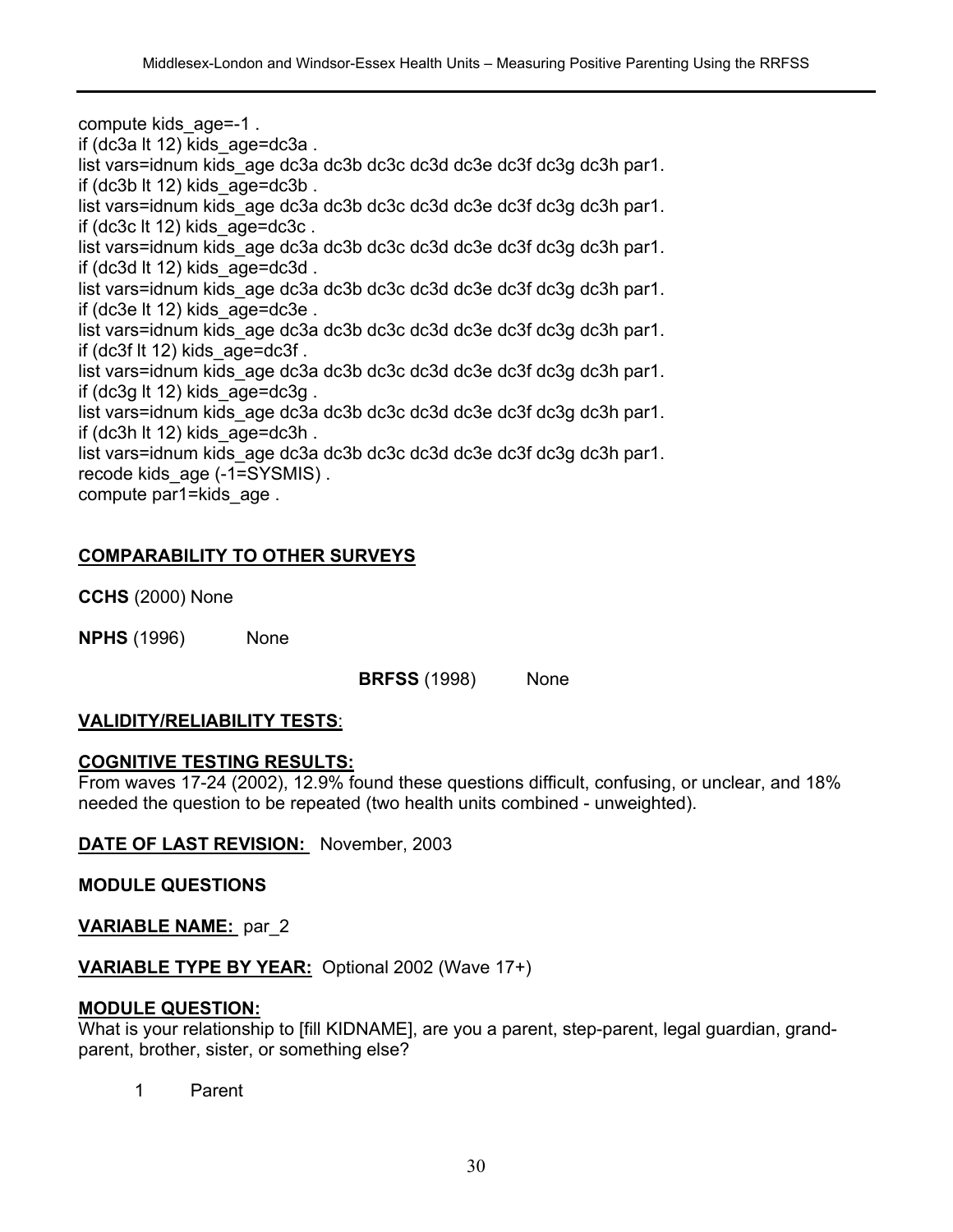compute kids\_age=-1 . if (dc3a lt 12) kids\_age=dc3a . list vars=idnum kids\_age dc3a dc3b dc3c dc3d dc3e dc3f dc3g dc3h par1. if (dc3b lt 12) kids\_age=dc3b . list vars=idnum kids\_age dc3a dc3b dc3c dc3d dc3e dc3f dc3g dc3h par1. if (dc3c lt 12) kids\_age=dc3c . list vars=idnum kids\_age dc3a dc3b dc3c dc3d dc3e dc3f dc3g dc3h par1. if (dc3d lt 12) kids\_age=dc3d . list vars=idnum kids\_age dc3a dc3b dc3c dc3d dc3e dc3f dc3g dc3h par1. if (dc3e lt 12) kids\_age=dc3e . list vars=idnum kids\_age dc3a dc3b dc3c dc3d dc3e dc3f dc3g dc3h par1. if (dc3f lt 12) kids\_age=dc3f . list vars=idnum kids\_age dc3a dc3b dc3c dc3d dc3e dc3f dc3g dc3h par1. if (dc3g It 12) kids  $age=dc3g$ . list vars=idnum kids\_age dc3a dc3b dc3c dc3d dc3e dc3f dc3g dc3h par1. if (dc3h It 12) kids  $age=dc3h$ . list vars=idnum kids\_age dc3a dc3b dc3c dc3d dc3e dc3f dc3g dc3h par1. recode kids\_age (-1=SYSMIS) . compute par1=kids\_age .

# **COMPARABILITY TO OTHER SURVEYS**

**CCHS** (2000) None

**NPHS** (1996) None

**BRFSS** (1998) None

# **VALIDITY/RELIABILITY TESTS**:

# **COGNITIVE TESTING RESULTS:**

From waves 17-24 (2002), 12.9% found these questions difficult, confusing, or unclear, and 18% needed the question to be repeated (two health units combined - unweighted).

**DATE OF LAST REVISION:** November, 2003

# **MODULE QUESTIONS**

**VARIABLE NAME:** par\_2

**VARIABLE TYPE BY YEAR:** Optional 2002 (Wave 17+)

# **MODULE QUESTION:**

What is your relationship to [fill KIDNAME], are you a parent, step-parent, legal guardian, grandparent, brother, sister, or something else?

1 Parent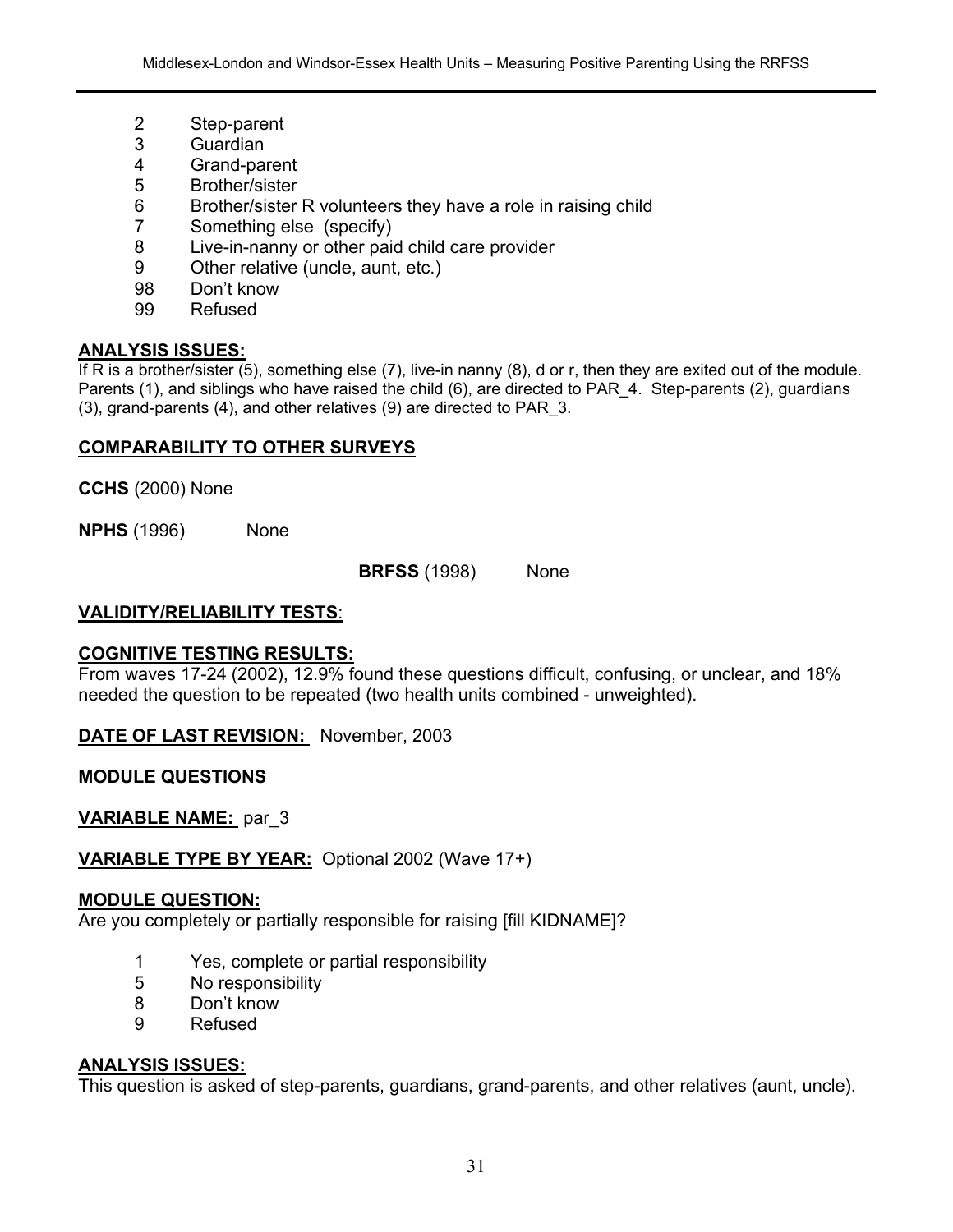- 2 Step-parent
- 3 Guardian
- 4 Grand-parent
- 5 Brother/sister
- 6 Brother/sister R volunteers they have a role in raising child
- 7 Something else (specify)
- 8 Live-in-nanny or other paid child care provider
- 9 Other relative (uncle, aunt, etc.)
- 98 Don't know
- 99 Refused

## **ANALYSIS ISSUES:**

If R is a brother/sister (5), something else (7), live-in nanny (8), d or r, then they are exited out of the module. Parents (1), and siblings who have raised the child (6), are directed to PAR\_4. Step-parents (2), guardians (3), grand-parents (4), and other relatives (9) are directed to PAR\_3.

# **COMPARABILITY TO OTHER SURVEYS**

**CCHS** (2000) None

**NPHS** (1996) None

#### **BRFSS** (1998) None

## **VALIDITY/RELIABILITY TESTS**:

### **COGNITIVE TESTING RESULTS:**

From waves 17-24 (2002), 12.9% found these questions difficult, confusing, or unclear, and 18% needed the question to be repeated (two health units combined - unweighted).

**DATE OF LAST REVISION:** November, 2003

**MODULE QUESTIONS**

**VARIABLE NAME:** par\_3

### **VARIABLE TYPE BY YEAR:** Optional 2002 (Wave 17+)

### **MODULE QUESTION:**

Are you completely or partially responsible for raising [fill KIDNAME]?

- 1 Yes, complete or partial responsibility
- 5 No responsibility
- 8 Don't know
- 9 Refused

### **ANALYSIS ISSUES:**

This question is asked of step-parents, guardians, grand-parents, and other relatives (aunt, uncle).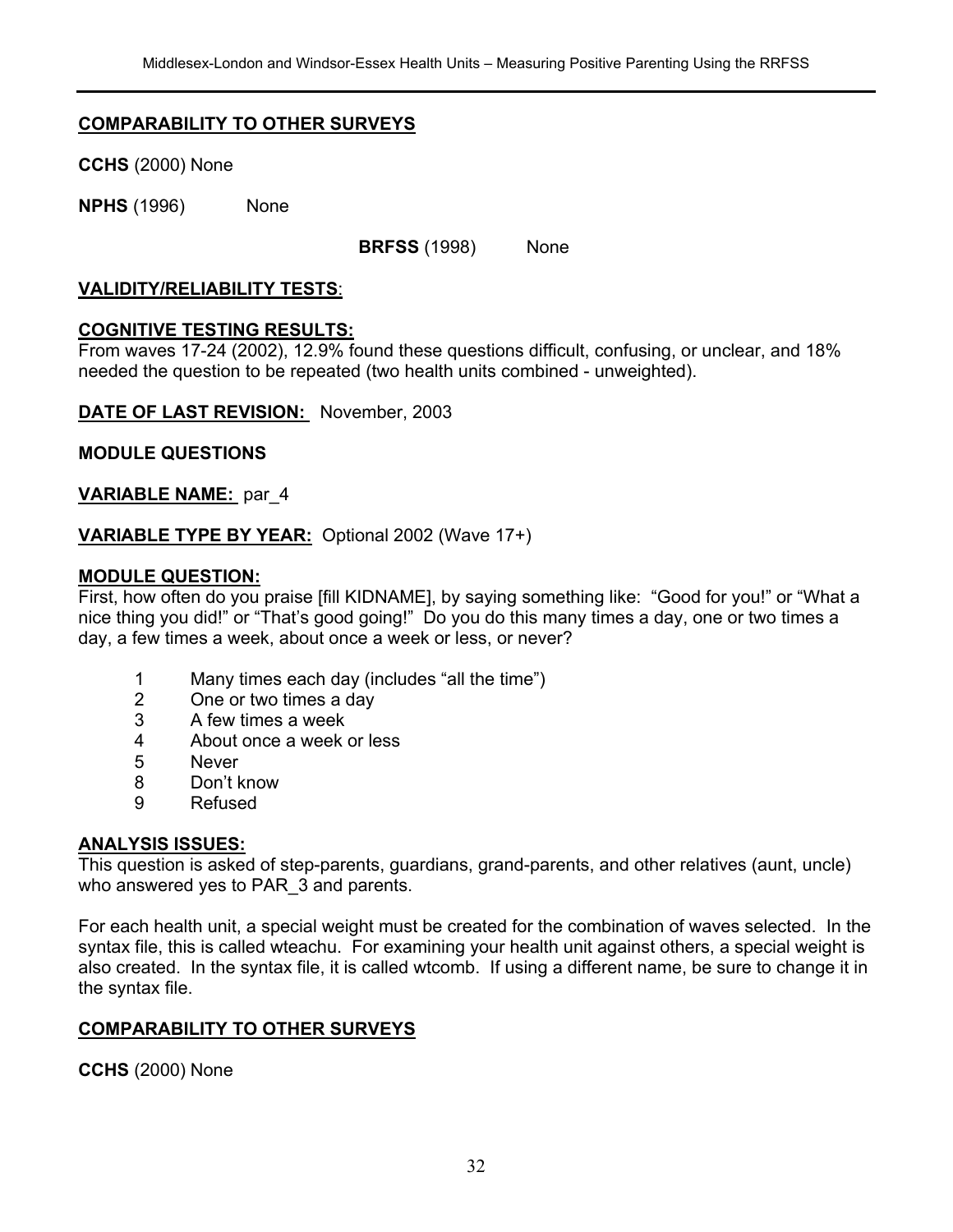**CCHS** (2000) None

**NPHS** (1996) None

**BRFSS** (1998) None

## **VALIDITY/RELIABILITY TESTS**:

### **COGNITIVE TESTING RESULTS:**

From waves 17-24 (2002), 12.9% found these questions difficult, confusing, or unclear, and 18% needed the question to be repeated (two health units combined - unweighted).

**DATE OF LAST REVISION:** November, 2003

### **MODULE QUESTIONS**

**VARIABLE NAME:** par\_4

### **VARIABLE TYPE BY YEAR:** Optional 2002 (Wave 17+)

#### **MODULE QUESTION:**

First, how often do you praise [fill KIDNAME], by saying something like: "Good for you!" or "What a nice thing you did!" or "That's good going!" Do you do this many times a day, one or two times a day, a few times a week, about once a week or less, or never?

- 1 Many times each day (includes "all the time")
- 2 One or two times a day
- 3 A few times a week
- 4 About once a week or less
- 5 Never
- 8 Don't know
- 9 Refused

### **ANALYSIS ISSUES:**

This question is asked of step-parents, guardians, grand-parents, and other relatives (aunt, uncle) who answered yes to PAR 3 and parents.

For each health unit, a special weight must be created for the combination of waves selected. In the syntax file, this is called wteachu. For examining your health unit against others, a special weight is also created. In the syntax file, it is called wtcomb. If using a different name, be sure to change it in the syntax file.

### **COMPARABILITY TO OTHER SURVEYS**

**CCHS** (2000) None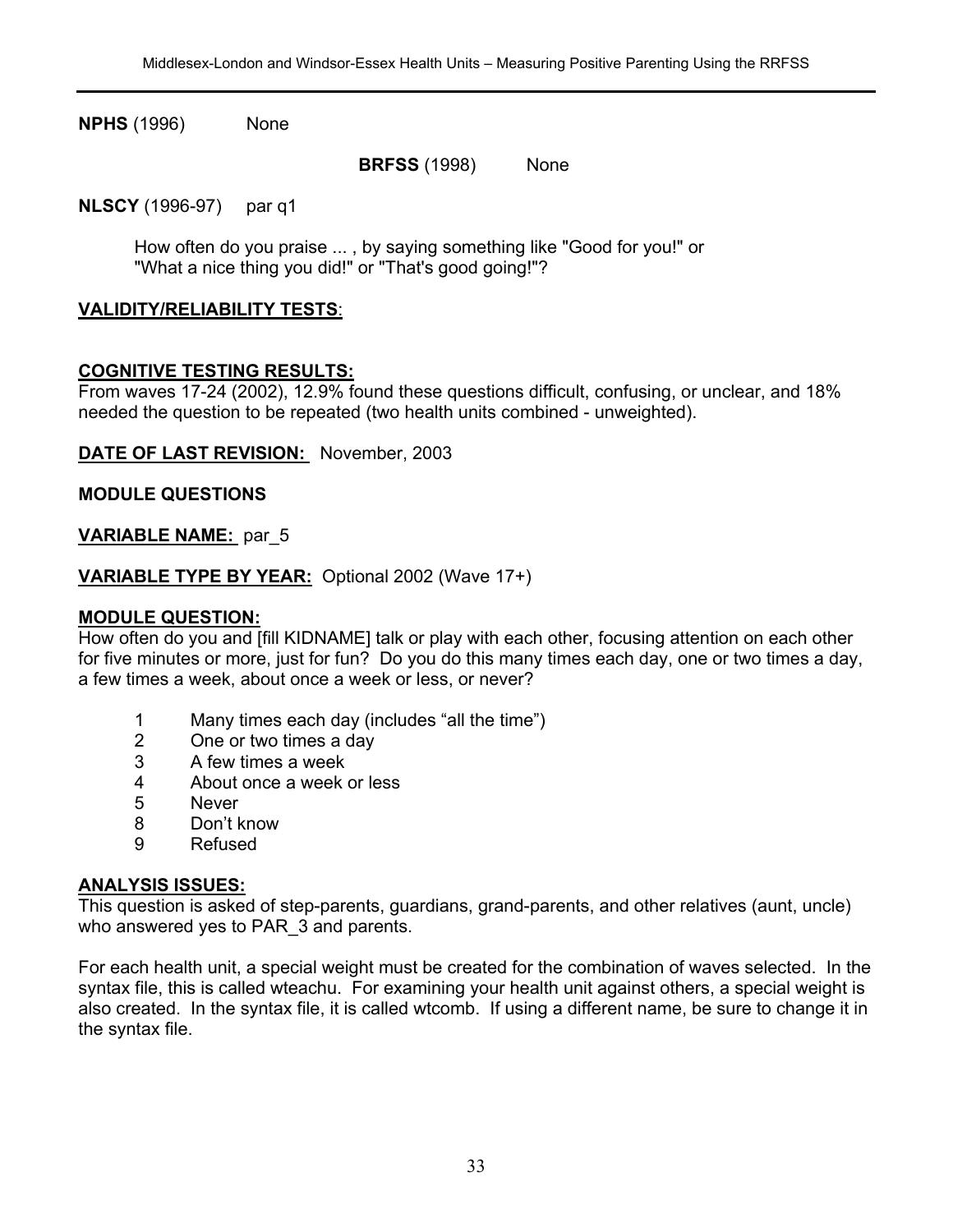**NPHS** (1996) None

#### **BRFSS** (1998) None

**NLSCY** (1996-97) par q1

How often do you praise ... , by saying something like "Good for you!" or "What a nice thing you did!" or "That's good going!"?

## **VALIDITY/RELIABILITY TESTS**:

## **COGNITIVE TESTING RESULTS:**

From waves 17-24 (2002), 12.9% found these questions difficult, confusing, or unclear, and 18% needed the question to be repeated (two health units combined - unweighted).

**DATE OF LAST REVISION:** November, 2003

## **MODULE QUESTIONS**

**VARIABLE NAME:** par\_5

## **VARIABLE TYPE BY YEAR:** Optional 2002 (Wave 17+)

### **MODULE QUESTION:**

How often do you and [fill KIDNAME] talk or play with each other, focusing attention on each other for five minutes or more, just for fun? Do you do this many times each day, one or two times a day, a few times a week, about once a week or less, or never?

- 1 Many times each day (includes "all the time")
- 2 One or two times a day
- 3 A few times a week
- 4 About once a week or less
- 5 Never
- 8 Don't know
- 9 Refused

### **ANALYSIS ISSUES:**

This question is asked of step-parents, guardians, grand-parents, and other relatives (aunt, uncle) who answered yes to PAR 3 and parents.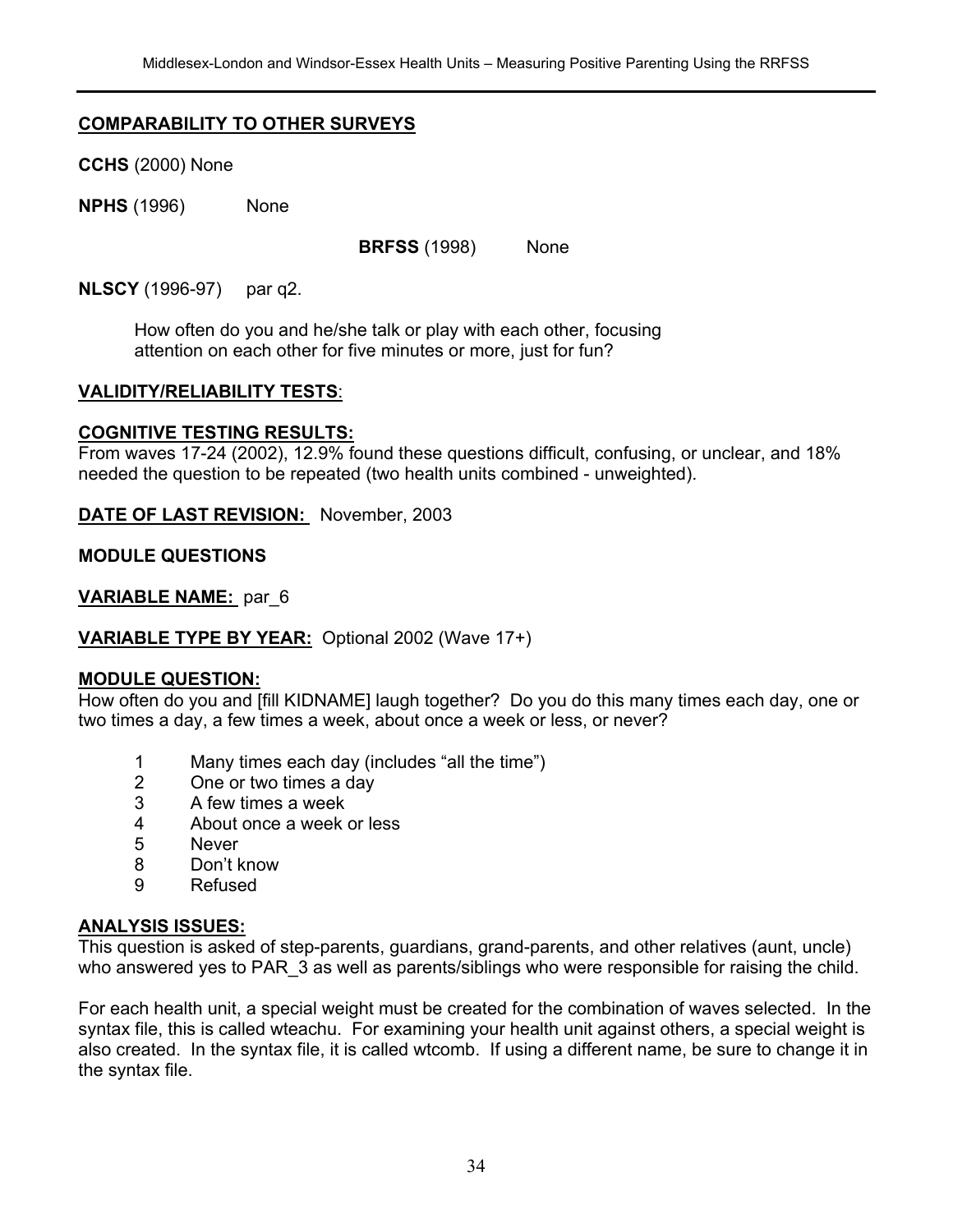**CCHS** (2000) None

**NPHS** (1996) None

**BRFSS** (1998) None

**NLSCY** (1996-97) par q2.

How often do you and he/she talk or play with each other, focusing attention on each other for five minutes or more, just for fun?

### **VALIDITY/RELIABILITY TESTS**:

#### **COGNITIVE TESTING RESULTS:**

From waves 17-24 (2002), 12.9% found these questions difficult, confusing, or unclear, and 18% needed the question to be repeated (two health units combined - unweighted).

**DATE OF LAST REVISION:** November, 2003

### **MODULE QUESTIONS**

**VARIABLE NAME:** par\_6

**VARIABLE TYPE BY YEAR:** Optional 2002 (Wave 17+)

#### **MODULE QUESTION:**

How often do you and [fill KIDNAME] laugh together? Do you do this many times each day, one or two times a day, a few times a week, about once a week or less, or never?

- 1 Many times each day (includes "all the time")
- 2 One or two times a day
- 3 A few times a week
- 4 About once a week or less
- 5 Never
- 8 Don't know
- 9 Refused

### **ANALYSIS ISSUES:**

This question is asked of step-parents, guardians, grand-parents, and other relatives (aunt, uncle) who answered yes to PAR 3 as well as parents/siblings who were responsible for raising the child.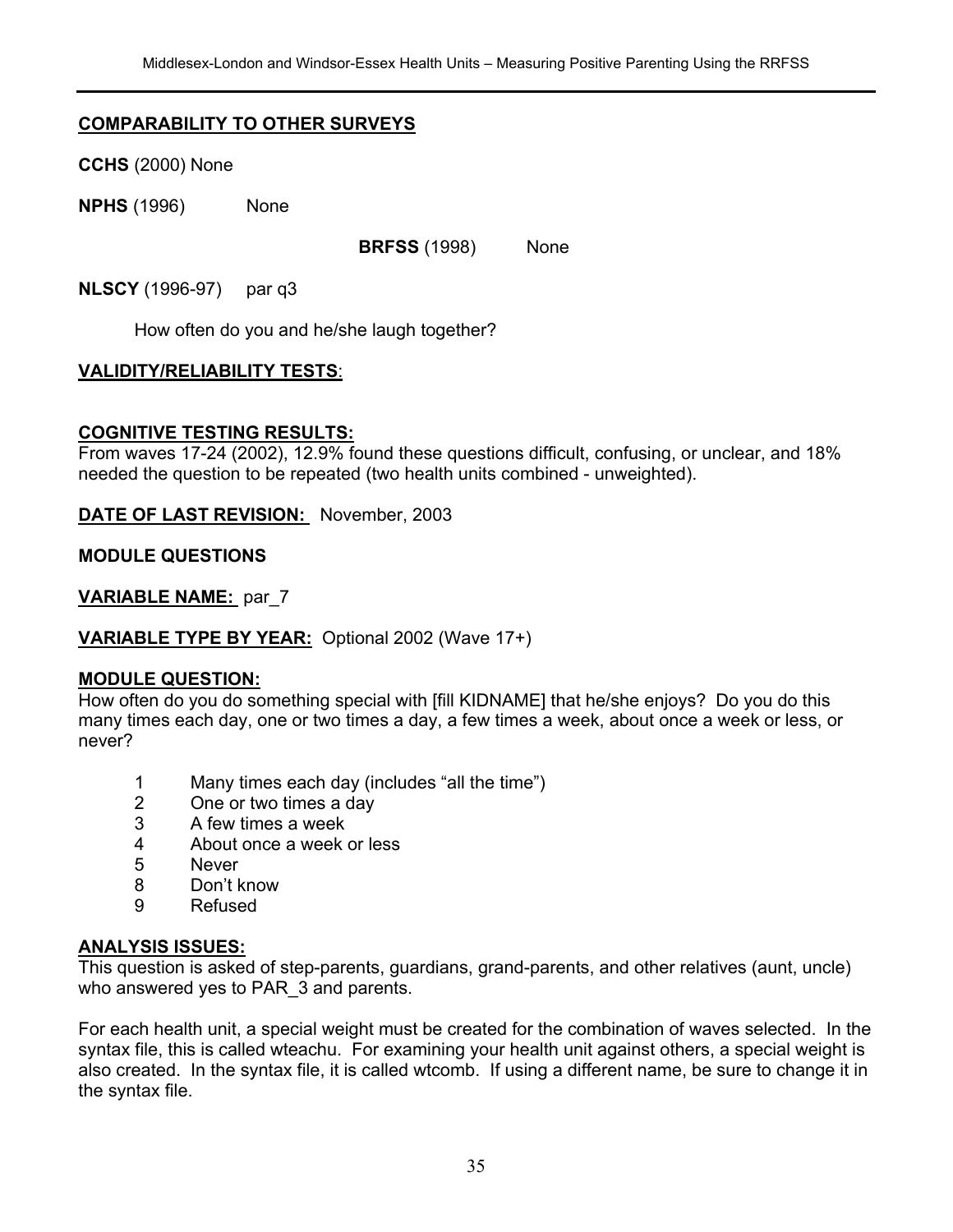**CCHS** (2000) None

**NPHS** (1996) None

**BRFSS** (1998) None

**NLSCY** (1996-97) par q3

How often do you and he/she laugh together?

## **VALIDITY/RELIABILITY TESTS**:

## **COGNITIVE TESTING RESULTS:**

From waves 17-24 (2002), 12.9% found these questions difficult, confusing, or unclear, and 18% needed the question to be repeated (two health units combined - unweighted).

**DATE OF LAST REVISION:** November, 2003

## **MODULE QUESTIONS**

**VARIABLE NAME:** par\_7

**VARIABLE TYPE BY YEAR:** Optional 2002 (Wave 17+)

### **MODULE QUESTION:**

How often do you do something special with [fill KIDNAME] that he/she enjoys? Do you do this many times each day, one or two times a day, a few times a week, about once a week or less, or never?

- 1 Many times each day (includes "all the time")
- 2 One or two times a day
- 3 A few times a week
- 4 About once a week or less
- 5 Never
- 8 Don't know
- 9 Refused

### **ANALYSIS ISSUES:**

This question is asked of step-parents, guardians, grand-parents, and other relatives (aunt, uncle) who answered yes to PAR 3 and parents.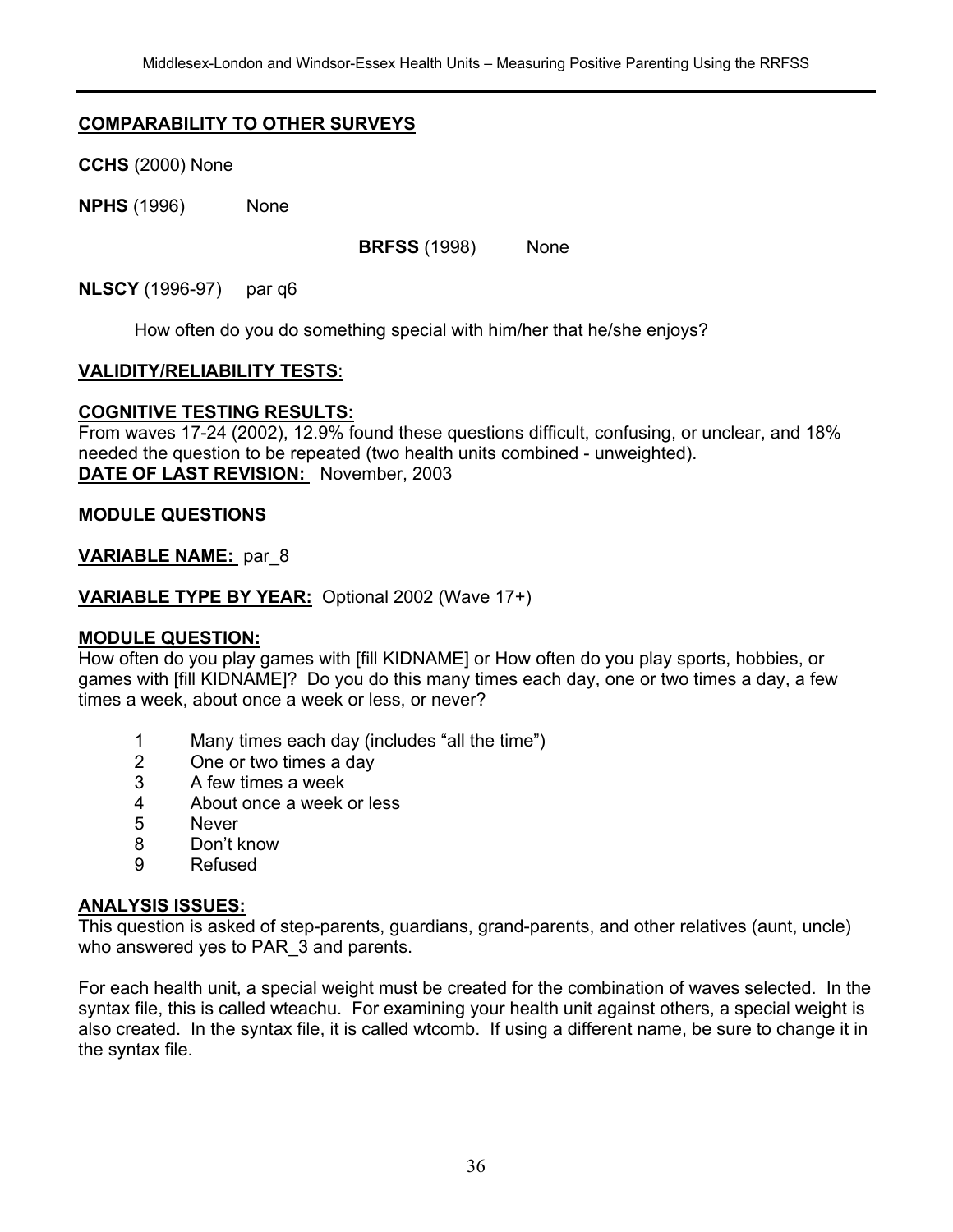**CCHS** (2000) None

**NPHS** (1996) None

**BRFSS** (1998) None

**NLSCY** (1996-97) par q6

How often do you do something special with him/her that he/she enjoys?

## **VALIDITY/RELIABILITY TESTS**:

### **COGNITIVE TESTING RESULTS:**

From waves 17-24 (2002), 12.9% found these questions difficult, confusing, or unclear, and 18% needed the question to be repeated (two health units combined - unweighted). **DATE OF LAST REVISION:** November, 2003

#### **MODULE QUESTIONS**

**VARIABLE NAME:** par\_8

**VARIABLE TYPE BY YEAR:** Optional 2002 (Wave 17+)

### **MODULE QUESTION:**

How often do you play games with [fill KIDNAME] or How often do you play sports, hobbies, or games with [fill KIDNAME]? Do you do this many times each day, one or two times a day, a few times a week, about once a week or less, or never?

- 1 Many times each day (includes "all the time")
- 2 One or two times a day
- 3 A few times a week
- 4 About once a week or less
- 5 Never
- 8 Don't know
- 9 Refused

### **ANALYSIS ISSUES:**

This question is asked of step-parents, guardians, grand-parents, and other relatives (aunt, uncle) who answered yes to PAR 3 and parents.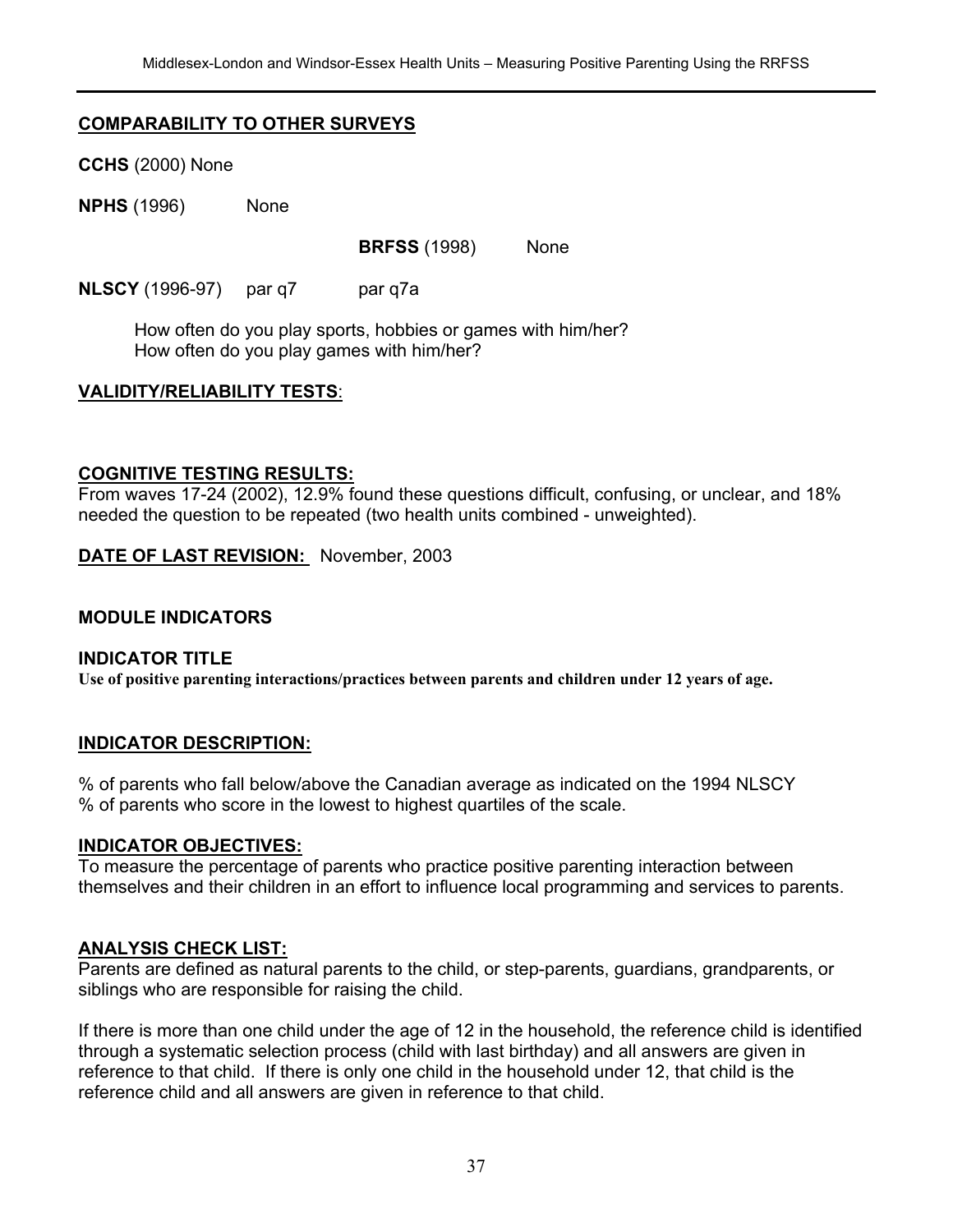**CCHS** (2000) None

**NPHS** (1996) None

**BRFSS** (1998) None

**NLSCY** (1996-97) par q7 par q7a

How often do you play sports, hobbies or games with him/her? How often do you play games with him/her?

## **VALIDITY/RELIABILITY TESTS**:

### **COGNITIVE TESTING RESULTS:**

From waves 17-24 (2002), 12.9% found these questions difficult, confusing, or unclear, and 18% needed the question to be repeated (two health units combined - unweighted).

**DATE OF LAST REVISION:** November, 2003

### **MODULE INDICATORS**

### **INDICATOR TITLE**

**Use of positive parenting interactions/practices between parents and children under 12 years of age.**

### **INDICATOR DESCRIPTION:**

% of parents who fall below/above the Canadian average as indicated on the 1994 NLSCY % of parents who score in the lowest to highest quartiles of the scale.

### **INDICATOR OBJECTIVES:**

To measure the percentage of parents who practice positive parenting interaction between themselves and their children in an effort to influence local programming and services to parents.

### **ANALYSIS CHECK LIST:**

Parents are defined as natural parents to the child, or step-parents, guardians, grandparents, or siblings who are responsible for raising the child.

If there is more than one child under the age of 12 in the household, the reference child is identified through a systematic selection process (child with last birthday) and all answers are given in reference to that child. If there is only one child in the household under 12, that child is the reference child and all answers are given in reference to that child.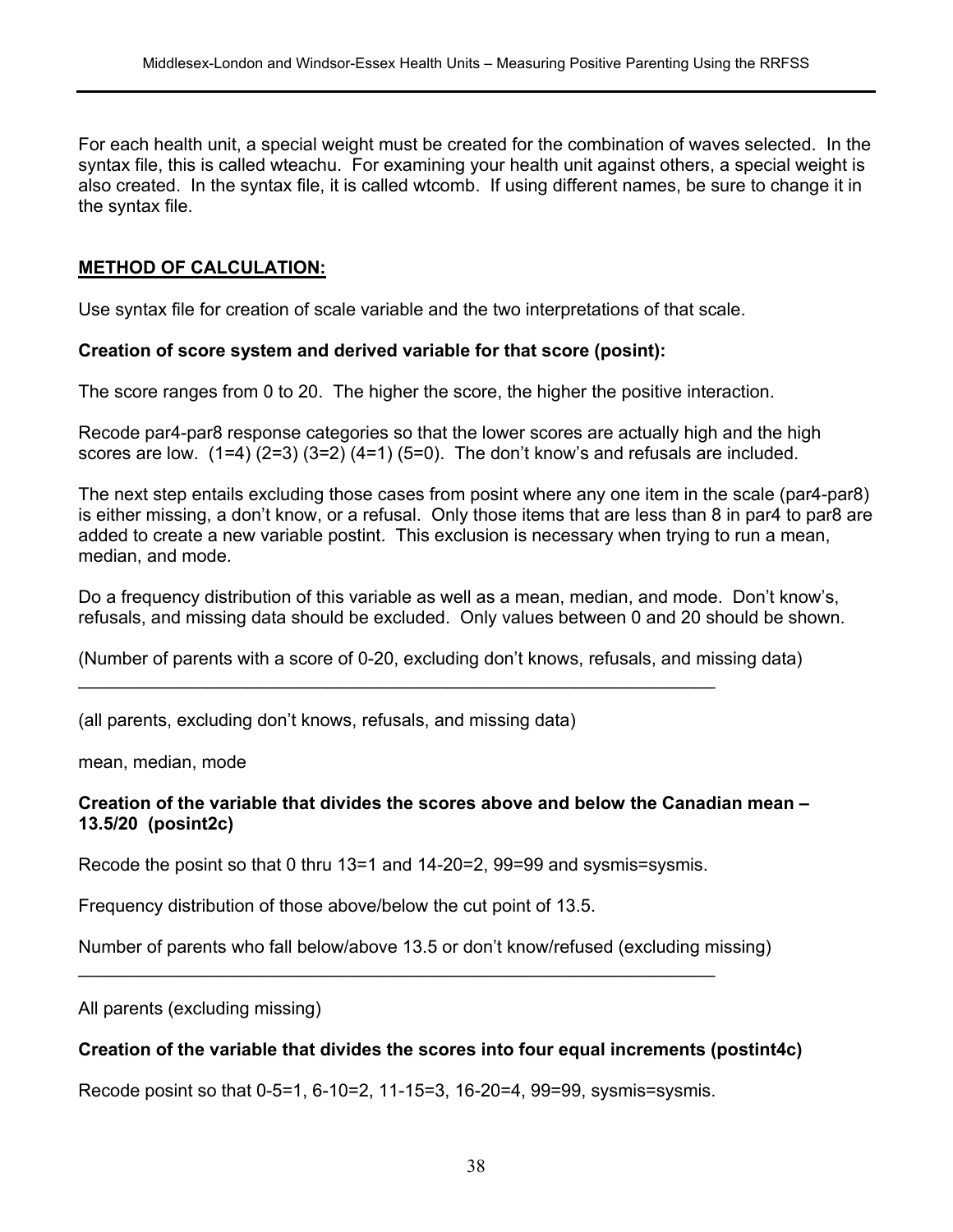For each health unit, a special weight must be created for the combination of waves selected. In the syntax file, this is called wteachu. For examining your health unit against others, a special weight is also created. In the syntax file, it is called wtcomb. If using different names, be sure to change it in the syntax file.

# **METHOD OF CALCULATION:**

Use syntax file for creation of scale variable and the two interpretations of that scale.

# **Creation of score system and derived variable for that score (posint):**

The score ranges from 0 to 20. The higher the score, the higher the positive interaction.

Recode par4-par8 response categories so that the lower scores are actually high and the high scores are low. (1=4) (2=3) (3=2) (4=1) (5=0). The don't know's and refusals are included.

The next step entails excluding those cases from posint where any one item in the scale (par4-par8) is either missing, a don't know, or a refusal. Only those items that are less than 8 in par4 to par8 are added to create a new variable postint. This exclusion is necessary when trying to run a mean, median, and mode.

Do a frequency distribution of this variable as well as a mean, median, and mode. Don't know's, refusals, and missing data should be excluded. Only values between 0 and 20 should be shown.

(Number of parents with a score of 0-20, excluding don't knows, refusals, and missing data)

(all parents, excluding don't knows, refusals, and missing data)

mean, median, mode

## **Creation of the variable that divides the scores above and below the Canadian mean – 13.5/20 (posint2c)**

Recode the posint so that 0 thru 13=1 and 14-20=2, 99=99 and sysmis=sysmis.

\_\_\_\_\_\_\_\_\_\_\_\_\_\_\_\_\_\_\_\_\_\_\_\_\_\_\_\_\_\_\_\_\_\_\_\_\_\_\_\_\_\_\_\_\_\_\_\_\_\_\_\_\_\_\_\_\_\_\_\_\_\_\_\_

\_\_\_\_\_\_\_\_\_\_\_\_\_\_\_\_\_\_\_\_\_\_\_\_\_\_\_\_\_\_\_\_\_\_\_\_\_\_\_\_\_\_\_\_\_\_\_\_\_\_\_\_\_\_\_\_\_\_\_\_\_\_\_\_

Frequency distribution of those above/below the cut point of 13.5.

Number of parents who fall below/above 13.5 or don't know/refused (excluding missing)

All parents (excluding missing)

# **Creation of the variable that divides the scores into four equal increments (postint4c)**

Recode posint so that 0-5=1, 6-10=2, 11-15=3, 16-20=4, 99=99, sysmis=sysmis.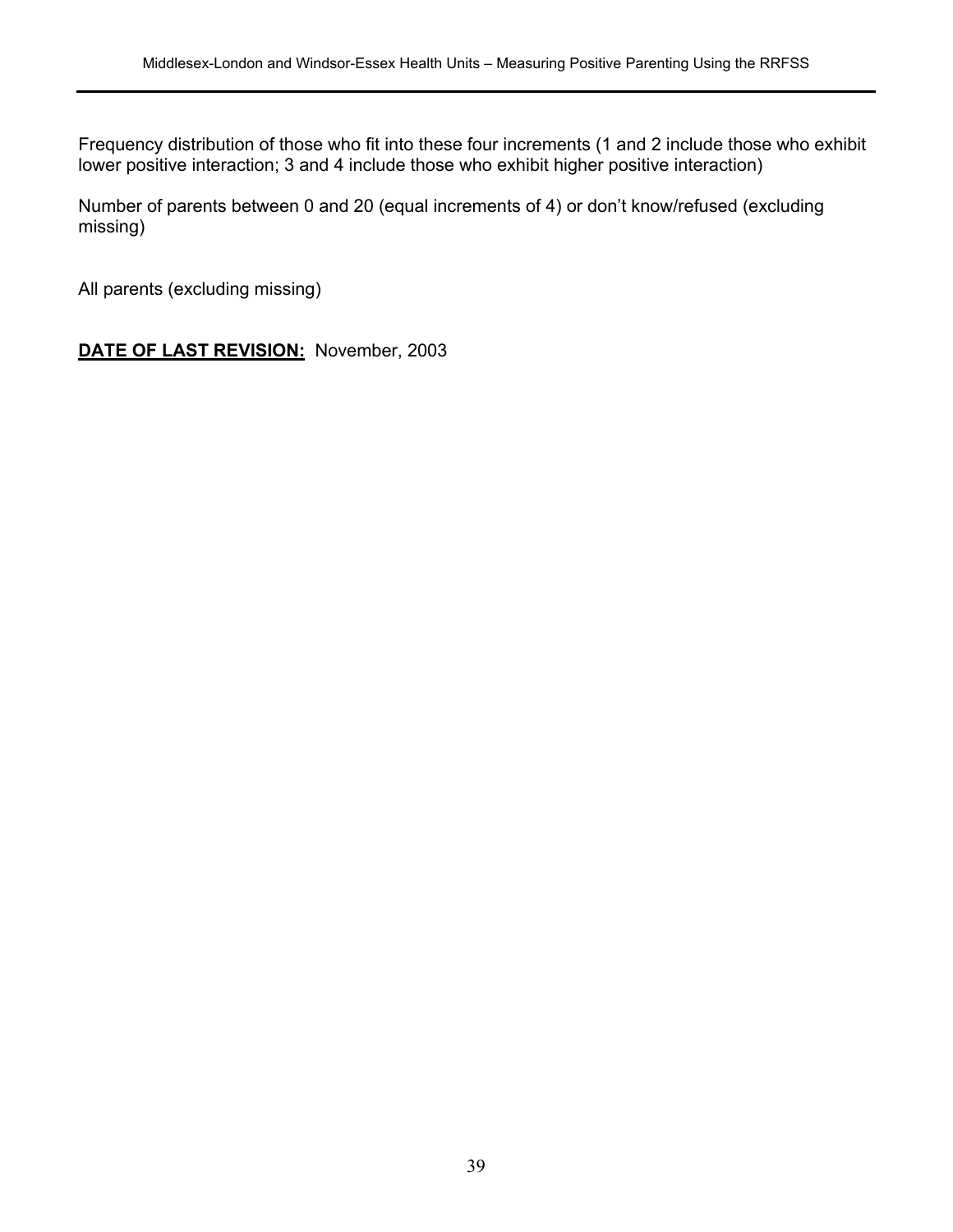Frequency distribution of those who fit into these four increments (1 and 2 include those who exhibit lower positive interaction; 3 and 4 include those who exhibit higher positive interaction)

Number of parents between 0 and 20 (equal increments of 4) or don't know/refused (excluding missing)

All parents (excluding missing)

**DATE OF LAST REVISION:** November, 2003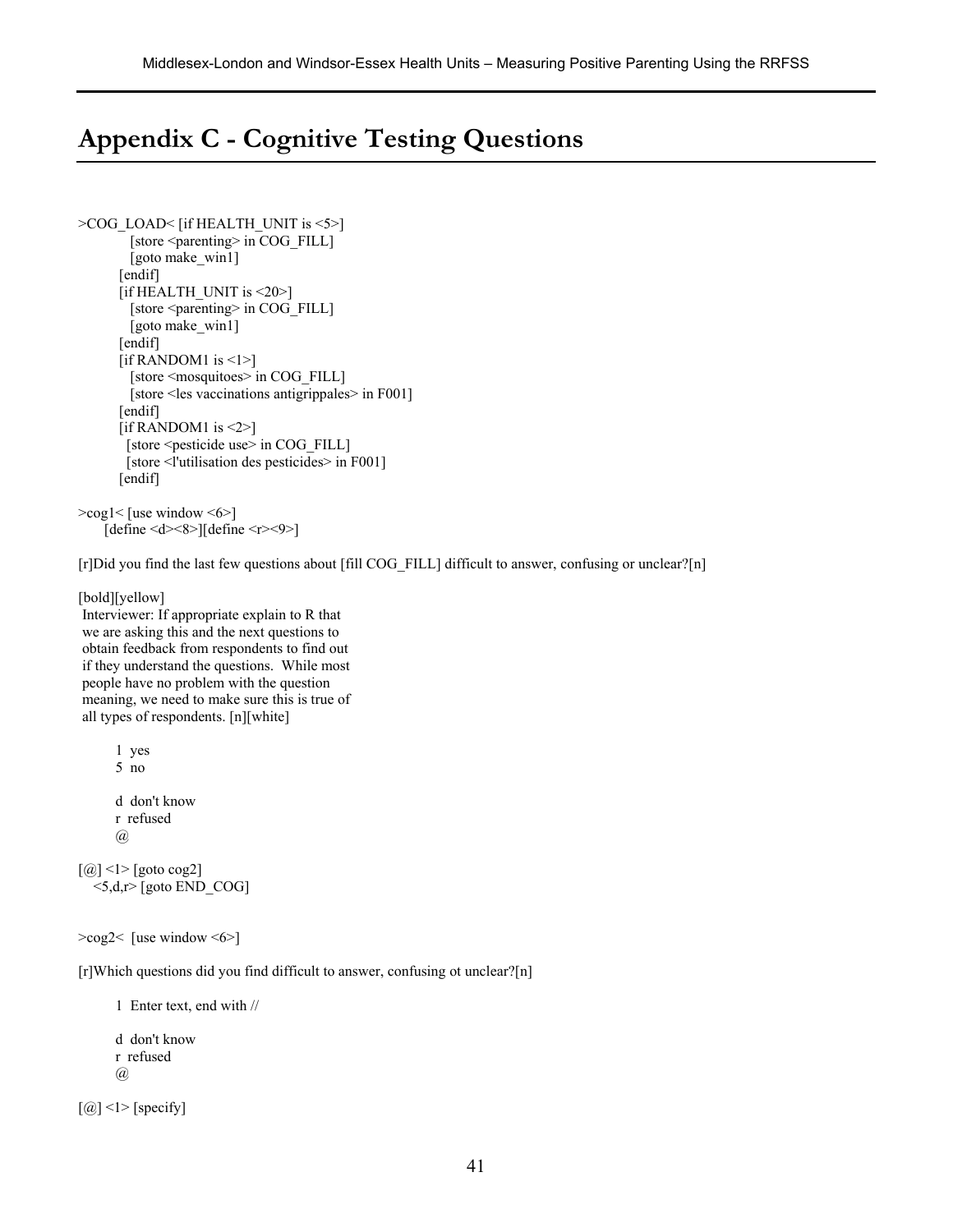# **Appendix C - Cognitive Testing Questions**

```
>COG_LOAD< [if HEALTH_UNIT is <5>]
        [store <parenting> in COG_FILL]
         [goto make_win1]
       [endif]
      [if HEALTH_UNIT is \leq 20>]
        [store <parenting> in COG_FILL]
         [goto make_win1]
       [endif]
      [if RANDOM1 is \leq 1>]
        [store <mosquitoes> in COG_FILL]
         [store <les vaccinations antigrippales> in F001]
       [endif]
      [if RANDOM1 is \leq2>]
        [store <pesticide use> in COG_FILL]
        [store <l'utilisation des pesticides> in F001]
       [endif]
```
 $\geq$ cog1< [use window  $\leq$ 6 $>$ ] [define <d><8>][define <r><9>]

[r]Did you find the last few questions about [fill COG\_FILL] difficult to answer, confusing or unclear?[n]

[bold][yellow]

 Interviewer: If appropriate explain to R that we are asking this and the next questions to obtain feedback from respondents to find out if they understand the questions. While most people have no problem with the question meaning, we need to make sure this is true of all types of respondents. [n][white]

```
 1 yes
        5 no
        d don't know
       r refused
       \mathcal{a}[@] <1> [goto cog2]
```

```
\leq 5, d,r [goto END COG]
```

```
\geqcog2< [use window \leq6>]
```
[r]Which questions did you find difficult to answer, confusing ot unclear?[n]

```
 1 Enter text, end with //
 d don't know
 r refused
\mathcal{D}
```
 $[@]$  <1> [specify]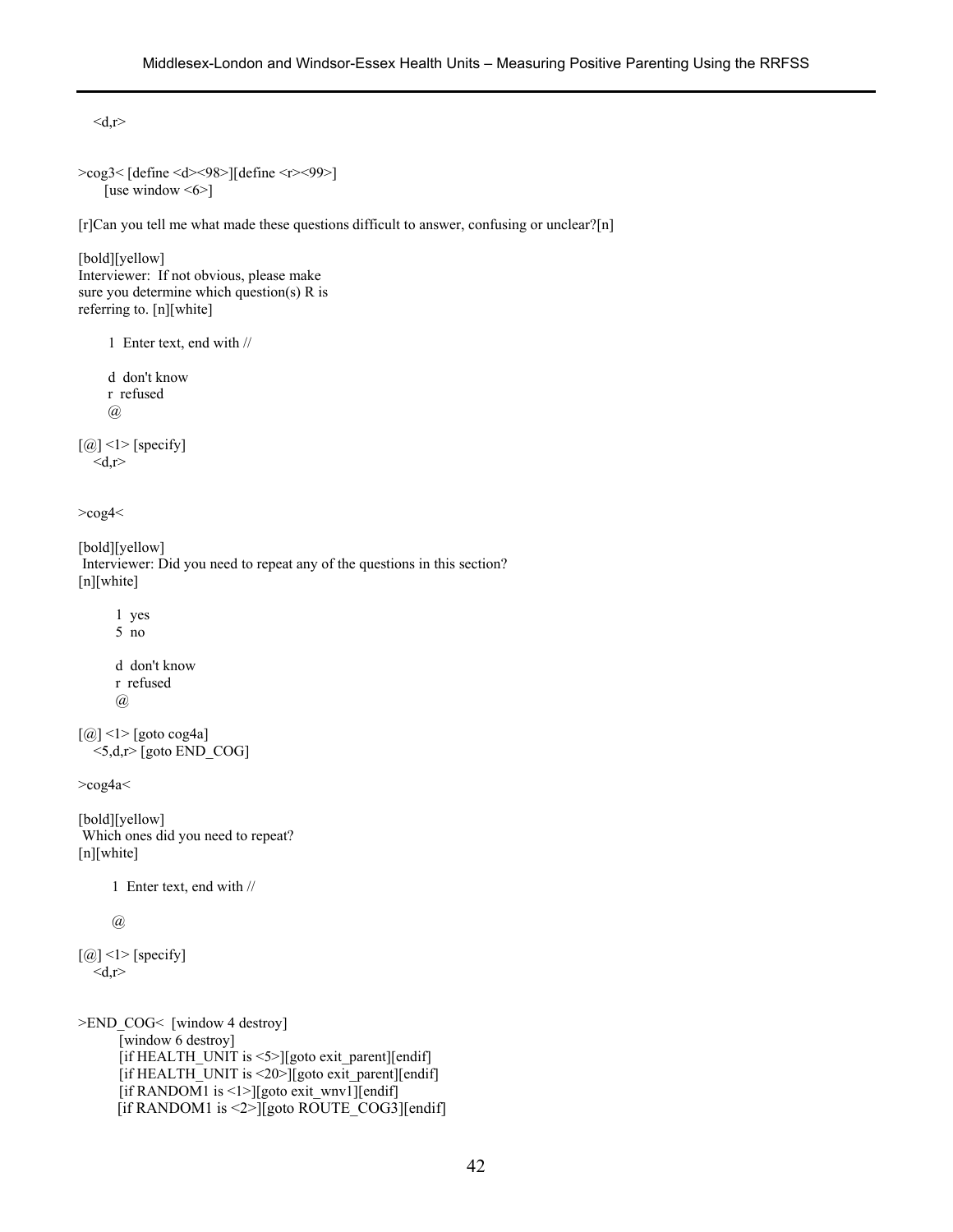$<$ d,r $>$ 

```
>cog3< [define <d><98>][define <r><99>]
    [use window \leq 6>]
```
[r]Can you tell me what made these questions difficult to answer, confusing or unclear?[n]

[bold][yellow] Interviewer: If not obvious, please make sure you determine which question(s) R is referring to. [n][white] 1 Enter text, end with // d don't know r refused @  $[@] \leq 1$  [specify]  $< d,r$ >cog4< [bold][yellow] Interviewer: Did you need to repeat any of the questions in this section? [n][white] 1 yes 5 no d don't know r refused @  $\lceil \omega \rceil$  <1>  $\lceil \text{goto cog4a} \rceil$  $\leq 5$ ,d,r $>$  [goto END COG] >cog4a< [bold][yellow] Which ones did you need to repeat? [n][white] 1 Enter text, end with // @  $[@]$  <1> [specify]  $$ >END\_COG< [window 4 destroy] [window 6 destroy] [if HEALTH\_UNIT is <5>][goto exit\_parent][endif]  $[$ if HEALTH $\overline{\_}$ UNIT is <20> $\overline{\_}$ [goto exit\_parent][endif] [if RANDOM1 is <1>][goto exit\_wnv1][endif] [if RANDOM1 is  $\leq$ 2>][goto ROUTE\_COG3][endif]